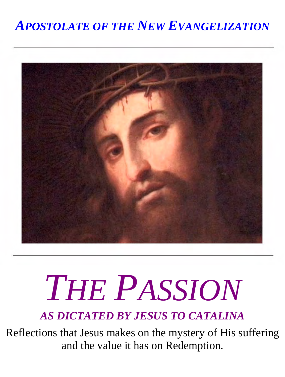#### *APOSTOLATE OF THE NEW EVANGELIZATION*



# *THE PASSION*

*AS DICTATED BY JESUS TO CATALINA*

Reflections that Jesus makes on the mystery of His suffering and the value it has on Redemption.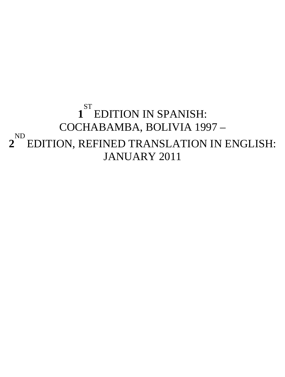#### **1** ST EDITION IN SPANISH: COCHABAMBA, BOLIVIA 1997 – **2** ND EDITION, REFINED TRANSLATION IN ENGLISH: JANUARY 2011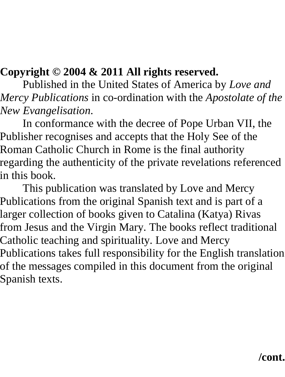#### **Copyright © 2004 & 2011 All rights reserved.**

Published in the United States of America by *Love and Mercy Publications* in co-ordination with the *Apostolate of the New Evangelisation*.

In conformance with the decree of Pope Urban VII, the Publisher recognises and accepts that the Holy See of the Roman Catholic Church in Rome is the final authority regarding the authenticity of the private revelations referenced in this book.

This publication was translated by Love and Mercy Publications from the original Spanish text and is part of a larger collection of books given to Catalina (Katya) Rivas from Jesus and the Virgin Mary. The books reflect traditional Catholic teaching and spirituality. Love and Mercy Publications takes full responsibility for the English translation of the messages compiled in this document from the original Spanish texts.

#### **/cont.**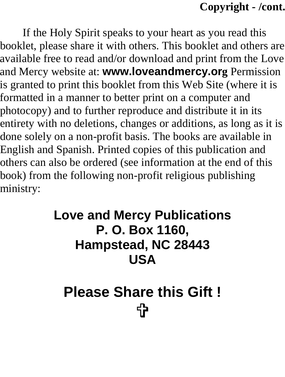#### **Copyright - /cont.**

If the Holy Spirit speaks to your heart as you read this booklet, please share it with others. This booklet and others are available free to read and/or download and print from the Love and Mercy website at: **www.loveandmercy.org** Permission is granted to print this booklet from this Web Site (where it is formatted in a manner to better print on a computer and photocopy) and to further reproduce and distribute it in its entirety with no deletions, changes or additions, as long as it is done solely on a non-profit basis. The books are available in English and Spanish. Printed copies of this publication and others can also be ordered (see information at the end of this book) from the following non-profit religious publishing ministry:

#### **Love and Mercy Publications P. O. Box 1160, Hampstead, NC 28443 USA**

### **Please Share this Gift !** 57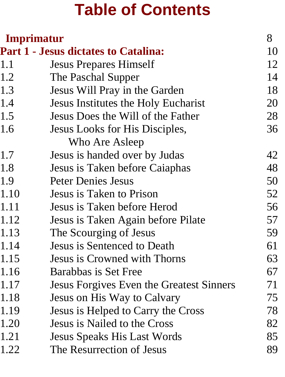### **Table of Contents**

| Imprimatur |                                             | 8  |
|------------|---------------------------------------------|----|
|            | <b>Part 1 - Jesus dictates to Catalina:</b> | 10 |
| 1.1        | <b>Jesus Prepares Himself</b>               | 12 |
| 1.2        | The Paschal Supper                          | 14 |
| 1.3        | Jesus Will Pray in the Garden               | 18 |
| 1.4        | Jesus Institutes the Holy Eucharist         | 20 |
| 1.5        | Jesus Does the Will of the Father           | 28 |
| 1.6        | Jesus Looks for His Disciples,              | 36 |
|            | Who Are Asleep                              |    |
| 1.7        | Jesus is handed over by Judas               | 42 |
| 1.8        | Jesus is Taken before Caiaphas              | 48 |
| 1.9        | <b>Peter Denies Jesus</b>                   | 50 |
| 1.10       | Jesus is Taken to Prison                    | 52 |
| 1.11       | Jesus is Taken before Herod                 | 56 |
| 1.12       | Jesus is Taken Again before Pilate          | 57 |
| 1.13       | The Scourging of Jesus                      | 59 |
| 1.14       | Jesus is Sentenced to Death                 | 61 |
| 1.15       | Jesus is Crowned with Thorns                | 63 |
| 1.16       | Barabbas is Set Free                        | 67 |
| 1.17       | Jesus Forgives Even the Greatest Sinners    | 71 |
| 1.18       | Jesus on His Way to Calvary                 | 75 |
| 1.19       | Jesus is Helped to Carry the Cross          | 78 |
| 1.20       | Jesus is Nailed to the Cross                | 82 |
| 1.21       | <b>Jesus Speaks His Last Words</b>          | 85 |
| 1.22       | The Resurrection of Jesus                   | 89 |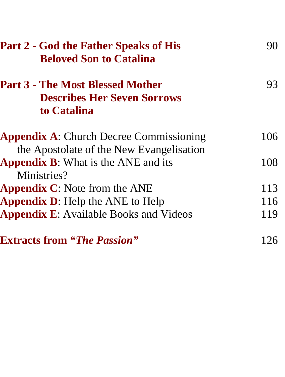| <b>Part 2 - God the Father Speaks of His</b><br><b>Beloved Son to Catalina</b>               | 90  |
|----------------------------------------------------------------------------------------------|-----|
| <b>Part 3 - The Most Blessed Mother</b><br><b>Describes Her Seven Sorrows</b><br>to Catalina | 93  |
| <b>Appendix A:</b> Church Decree Commissioning<br>the Apostolate of the New Evangelisation   | 106 |
| <b>Appendix B:</b> What is the ANE and its<br>Ministries?                                    | 108 |
| <b>Appendix C:</b> Note from the ANE                                                         | 113 |
| <b>Appendix D:</b> Help the ANE to Help                                                      | 116 |
| <b>Appendix E:</b> Available Books and Videos                                                | 119 |
| <b>Extracts from "The Passion"</b>                                                           | 126 |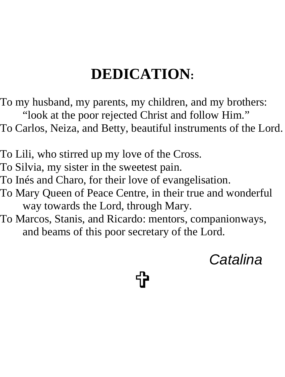### **DEDICATION:**

To my husband, my parents, my children, and my brothers: "look at the poor rejected Christ and follow Him." To Carlos, Neiza, and Betty, beautiful instruments of the Lord.

To Lili, who stirred up my love of the Cross. To Silvia, my sister in the sweetest pain. To Inés and Charo, for their love of evangelisation. To Mary Queen of Peace Centre, in their true and wonderful way towards the Lord, through Mary.

To Marcos, Stanis, and Ricardo: mentors, companionways, and beams of this poor secretary of the Lord.

<u>ተ</u>

*Catalina*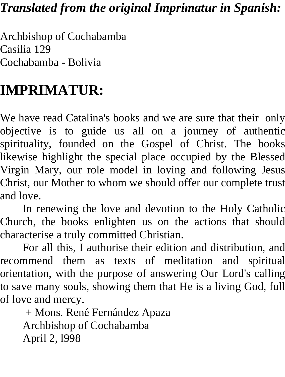#### *Translated from the original Imprimatur in Spanish:*

Archbishop of Cochabamba Casilia 129 Cochabamba - Bolivia

#### **IMPRIMATUR:**

We have read Catalina's books and we are sure that their only objective is to guide us all on a journey of authentic spirituality, founded on the Gospel of Christ. The books likewise highlight the special place occupied by the Blessed Virgin Mary, our role model in loving and following Jesus Christ, our Mother to whom we should offer our complete trust and love.

In renewing the love and devotion to the Holy Catholic Church, the books enlighten us on the actions that should characterise a truly committed Christian.

For all this, I authorise their edition and distribution, and recommend them as texts of meditation and spiritual orientation, with the purpose of answering Our Lord's calling to save many souls, showing them that He is a living God, full of love and mercy.

 + Mons. René Fernández Apaza Archbishop of Cochabamba April 2, l998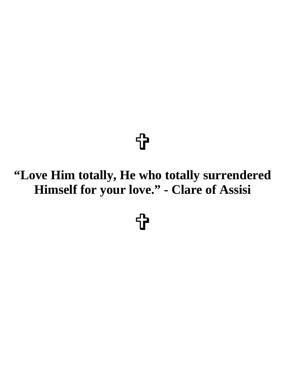### =

#### **"Love Him totally, He who totally surrendered Himself for your love." - Clare of Assisi**

<u>ተ</u>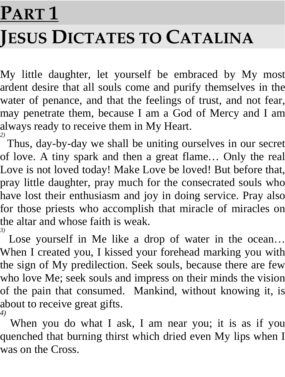# **PART 1 JESUS DICTATES TO CATALINA**

My little daughter, let yourself be embraced by My most ardent desire that all souls come and purify themselves in the water of penance, and that the feelings of trust, and not fear, may penetrate them, because I am a God of Mercy and I am always ready to receive them in My Heart. *2)* 

Thus, day-by-day we shall be uniting ourselves in our secret of love. A tiny spark and then a great flame… Only the real Love is not loved today! Make Love be loved! But before that, pray little daughter, pray much for the consecrated souls who have lost their enthusiasm and joy in doing service. Pray also for those priests who accomplish that miracle of miracles on the altar and whose faith is weak. *3)* 

Lose yourself in Me like a drop of water in the ocean… When I created you, I kissed your forehead marking you with the sign of My predilection. Seek souls, because there are few who love Me; seek souls and impress on their minds the vision of the pain that consumed. Mankind, without knowing it, is about to receive great gifts. *4)* 

When you do what I ask, I am near you; it is as if you quenched that burning thirst which dried even My lips when I was on the Cross.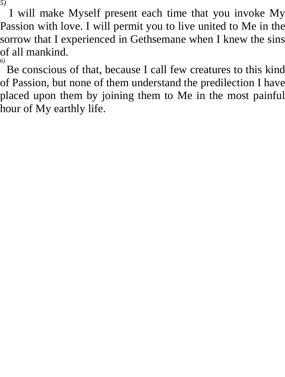I will make Myself present each time that you invoke My Passion with love. I will permit you to live united to Me in the sorrow that I experienced in Gethsemane when I knew the sins of all mankind. *6)* 

Be conscious of that, because I call few creatures to this kind of Passion, but none of them understand the predilection I have placed upon them by joining them to Me in the most painful hour of My earthly life.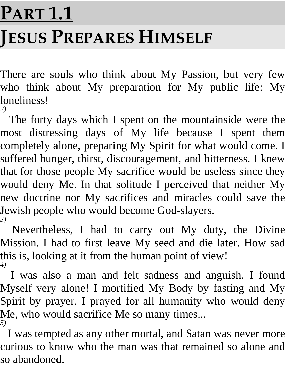# **PART 1.1 JESUS PREPARES HIMSELF**

There are souls who think about My Passion, but very few who think about My preparation for My public life: My loneliness! *2)* 

The forty days which I spent on the mountainside were the most distressing days of My life because I spent them completely alone, preparing My Spirit for what would come. I suffered hunger, thirst, discouragement, and bitterness. I knew that for those people My sacrifice would be useless since they would deny Me. In that solitude I perceived that neither My new doctrine nor My sacrifices and miracles could save the Jewish people who would become God-slayers. *3)* 

Nevertheless, I had to carry out My duty, the Divine Mission. I had to first leave My seed and die later. How sad this is, looking at it from the human point of view! *4)* 

I was also a man and felt sadness and anguish. I found Myself very alone! I mortified My Body by fasting and My Spirit by prayer. I prayed for all humanity who would deny Me, who would sacrifice Me so many times... *5)* 

I was tempted as any other mortal, and Satan was never more curious to know who the man was that remained so alone and so abandoned.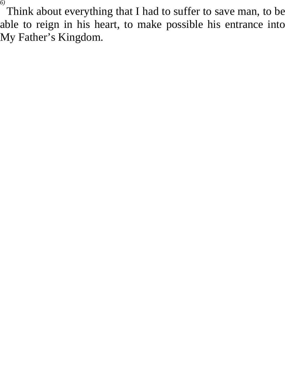Think about everything that I had to suffer to save man, to be able to reign in his heart, to make possible his entrance into My Father's Kingdom.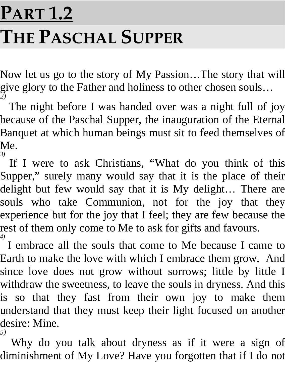### **PART 1.2 THE PASCHAL SUPPER**

Now let us go to the story of My Passion…The story that will give glory to the Father and holiness to other chosen souls… *2)* 

The night before I was handed over was a night full of joy because of the Paschal Supper, the inauguration of the Eternal Banquet at which human beings must sit to feed themselves of Me. *3)* 

If I were to ask Christians, "What do you think of this Supper," surely many would say that it is the place of their delight but few would say that it is My delight… There are souls who take Communion, not for the joy that they experience but for the joy that I feel; they are few because the rest of them only come to Me to ask for gifts and favours. *4)* 

I embrace all the souls that come to Me because I came to Earth to make the love with which I embrace them grow. And since love does not grow without sorrows; little by little I withdraw the sweetness, to leave the souls in dryness. And this is so that they fast from their own joy to make them understand that they must keep their light focused on another desire: Mine. *5)* 

Why do you talk about dryness as if it were a sign of diminishment of My Love? Have you forgotten that if I do not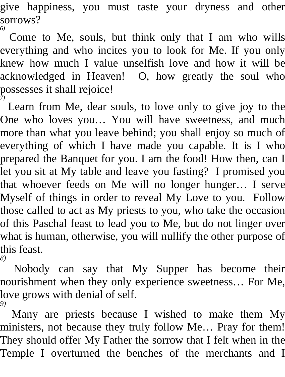give happiness, you must taste your dryness and other sorrows? *6)* 

Come to Me, souls, but think only that I am who wills everything and who incites you to look for Me. If you only knew how much I value unselfish love and how it will be acknowledged in Heaven! O, how greatly the soul who possesses it shall rejoice! *7)* 

Learn from Me, dear souls, to love only to give joy to the One who loves you… You will have sweetness, and much more than what you leave behind; you shall enjoy so much of everything of which I have made you capable. It is I who prepared the Banquet for you. I am the food! How then, can I let you sit at My table and leave you fasting? I promised you that whoever feeds on Me will no longer hunger… I serve Myself of things in order to reveal My Love to you. Follow those called to act as My priests to you, who take the occasion of this Paschal feast to lead you to Me, but do not linger over what is human, otherwise, you will nullify the other purpose of this feast. *8)* 

Nobody can say that My Supper has become their nourishment when they only experience sweetness… For Me, love grows with denial of self. *9)* 

Many are priests because I wished to make them My ministers, not because they truly follow Me… Pray for them! They should offer My Father the sorrow that I felt when in the Temple I overturned the benches of the merchants and I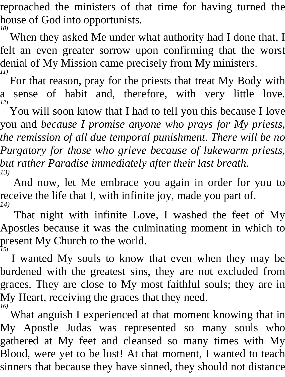reproached the ministers of that time for having turned the house of God into opportunists. *10)* 

When they asked Me under what authority had I done that, I felt an even greater sorrow upon confirming that the worst denial of My Mission came precisely from My ministers. *11)* 

For that reason, pray for the priests that treat My Body with a sense of habit and, therefore, with very little love. *12)* 

You will soon know that I had to tell you this because I love you and *because I promise anyone who prays for My priests, the remission of all due temporal punishment. There will be no Purgatory for those who grieve because of lukewarm priests, but rather Paradise immediately after their last breath. 13)* 

And now, let Me embrace you again in order for you to receive the life that I, with infinite joy, made you part of. *14)* 

That night with infinite Love, I washed the feet of My Apostles because it was the culminating moment in which to present My Church to the world. *15)* 

I wanted My souls to know that even when they may be burdened with the greatest sins, they are not excluded from graces. They are close to My most faithful souls; they are in My Heart, receiving the graces that they need. *16)* 

What anguish I experienced at that moment knowing that in My Apostle Judas was represented so many souls who gathered at My feet and cleansed so many times with My Blood, were yet to be lost! At that moment, I wanted to teach sinners that because they have sinned, they should not distance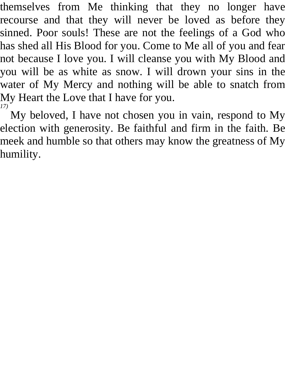themselves from Me thinking that they no longer have recourse and that they will never be loved as before they sinned. Poor souls! These are not the feelings of a God who has shed all His Blood for you. Come to Me all of you and fear not because I love you. I will cleanse you with My Blood and you will be as white as snow. I will drown your sins in the water of My Mercy and nothing will be able to snatch from My Heart the Love that I have for you. *17)* 

My beloved, I have not chosen you in vain, respond to My election with generosity. Be faithful and firm in the faith. Be meek and humble so that others may know the greatness of My humility.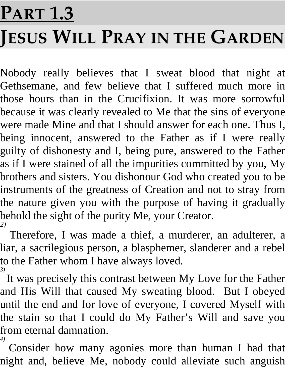## **PART 1.3 JESUS WILL PRAY IN THE GARDEN**

Nobody really believes that I sweat blood that night at Gethsemane, and few believe that I suffered much more in those hours than in the Crucifixion. It was more sorrowful because it was clearly revealed to Me that the sins of everyone were made Mine and that I should answer for each one. Thus I, being innocent, answered to the Father as if I were really guilty of dishonesty and I, being pure, answered to the Father as if I were stained of all the impurities committed by you, My brothers and sisters. You dishonour God who created you to be instruments of the greatness of Creation and not to stray from the nature given you with the purpose of having it gradually behold the sight of the purity Me, your Creator. *2)* 

Therefore, I was made a thief, a murderer, an adulterer, a liar, a sacrilegious person, a blasphemer, slanderer and a rebel to the Father whom I have always loved. *3)* 

It was precisely this contrast between My Love for the Father and His Will that caused My sweating blood. But I obeyed until the end and for love of everyone, I covered Myself with the stain so that I could do My Father's Will and save you from eternal damnation. *4)* 

Consider how many agonies more than human I had that night and, believe Me, nobody could alleviate such anguish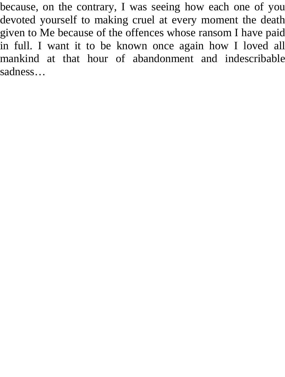because, on the contrary, I was seeing how each one of you devoted yourself to making cruel at every moment the death given to Me because of the offences whose ransom I have paid in full. I want it to be known once again how I loved all mankind at that hour of abandonment and indescribable sadness…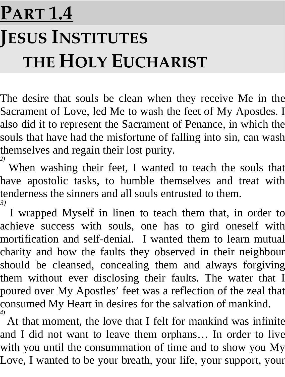### **PART 1.4 JESUS INSTITUTES THE HOLY EUCHARIST**

The desire that souls be clean when they receive Me in the Sacrament of Love, led Me to wash the feet of My Apostles. I also did it to represent the Sacrament of Penance, in which the souls that have had the misfortune of falling into sin, can wash themselves and regain their lost purity.

<sup>2)</sup> When washing their feet, I wanted to teach the souls that have apostolic tasks, to humble themselves and treat with tenderness the sinners and all souls entrusted to them. *3)* 

I wrapped Myself in linen to teach them that, in order to achieve success with souls, one has to gird oneself with mortification and self-denial. I wanted them to learn mutual charity and how the faults they observed in their neighbour should be cleansed, concealing them and always forgiving them without ever disclosing their faults. The water that I poured over My Apostles' feet was a reflection of the zeal that consumed My Heart in desires for the salvation of mankind. *4)* 

At that moment, the love that I felt for mankind was infinite and I did not want to leave them orphans… In order to live with you until the consummation of time and to show you My Love, I wanted to be your breath, your life, your support, your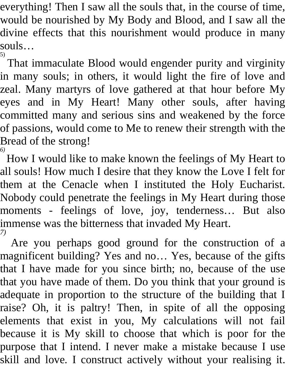everything! Then I saw all the souls that, in the course of time, would be nourished by My Body and Blood, and I saw all the divine effects that this nourishment would produce in many souls…

5) That immaculate Blood would engender purity and virginity in many souls; in others, it would light the fire of love and zeal. Many martyrs of love gathered at that hour before My eyes and in My Heart! Many other souls, after having committed many and serious sins and weakened by the force of passions, would come to Me to renew their strength with the Bread of the strong! *6)* 

How I would like to make known the feelings of My Heart to all souls! How much I desire that they know the Love I felt for them at the Cenacle when I instituted the Holy Eucharist. Nobody could penetrate the feelings in My Heart during those moments - feelings of love, joy, tenderness… But also immense was the bitterness that invaded My Heart. *7)* 

Are you perhaps good ground for the construction of a magnificent building? Yes and no… Yes, because of the gifts that I have made for you since birth; no, because of the use that you have made of them. Do you think that your ground is adequate in proportion to the structure of the building that I raise? Oh, it is paltry! Then, in spite of all the opposing elements that exist in you, My calculations will not fail because it is My skill to choose that which is poor for the purpose that I intend. I never make a mistake because I use skill and love. I construct actively without your realising it.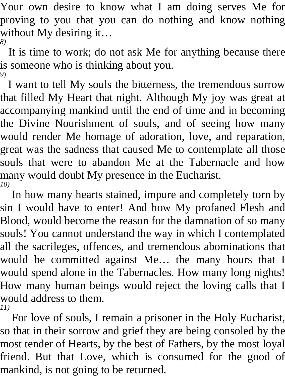Your own desire to know what I am doing serves Me for proving to you that you can do nothing and know nothing without My desiring it… *8)* 

It is time to work; do not ask Me for anything because there is someone who is thinking about you. *9*)

I want to tell My souls the bitterness, the tremendous sorrow that filled My Heart that night. Although My joy was great at accompanying mankind until the end of time and in becoming the Divine Nourishment of souls, and of seeing how many would render Me homage of adoration, love, and reparation, great was the sadness that caused Me to contemplate all those souls that were to abandon Me at the Tabernacle and how many would doubt My presence in the Eucharist. *10)* 

In how many hearts stained, impure and completely torn by sin I would have to enter! And how My profaned Flesh and Blood, would become the reason for the damnation of so many souls! You cannot understand the way in which I contemplated all the sacrileges, offences, and tremendous abominations that would be committed against Me… the many hours that I would spend alone in the Tabernacles. How many long nights! How many human beings would reject the loving calls that I would address to them. *11)* 

For love of souls, I remain a prisoner in the Holy Eucharist, so that in their sorrow and grief they are being consoled by the most tender of Hearts, by the best of Fathers, by the most loyal friend. But that Love, which is consumed for the good of mankind, is not going to be returned.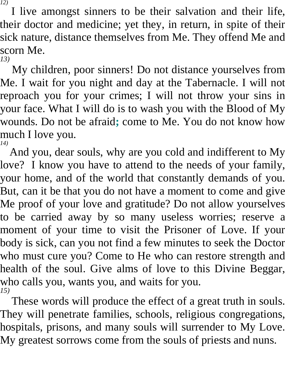I live amongst sinners to be their salvation and their life, their doctor and medicine; yet they, in return, in spite of their sick nature, distance themselves from Me. They offend Me and scorn Me.

*13)* 

My children, poor sinners! Do not distance yourselves from Me. I wait for you night and day at the Tabernacle. I will not reproach you for your crimes; I will not throw your sins in your face. What I will do is to wash you with the Blood of My wounds. Do not be afraid**;** come to Me. You do not know how much I love you. *14)* 

And you, dear souls, why are you cold and indifferent to My love? I know you have to attend to the needs of your family, your home, and of the world that constantly demands of you. But, can it be that you do not have a moment to come and give Me proof of your love and gratitude? Do not allow yourselves to be carried away by so many useless worries; reserve a moment of your time to visit the Prisoner of Love. If your body is sick, can you not find a few minutes to seek the Doctor who must cure you? Come to He who can restore strength and health of the soul. Give alms of love to this Divine Beggar, who calls you, wants you, and waits for you. *15)* 

These words will produce the effect of a great truth in souls. They will penetrate families, schools, religious congregations, hospitals, prisons, and many souls will surrender to My Love. My greatest sorrows come from the souls of priests and nuns.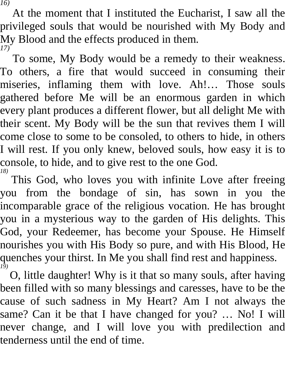At the moment that I instituted the Eucharist, I saw all the privileged souls that would be nourished with My Body and My Blood and the effects produced in them. *17)* 

To some, My Body would be a remedy to their weakness. To others, a fire that would succeed in consuming their miseries, inflaming them with love. Ah!… Those souls gathered before Me will be an enormous garden in which every plant produces a different flower, but all delight Me with their scent. My Body will be the sun that revives them I will come close to some to be consoled, to others to hide, in others I will rest. If you only knew, beloved souls, how easy it is to console, to hide, and to give rest to the one God. *18)* 

This God, who loves you with infinite Love after freeing you from the bondage of sin, has sown in you the incomparable grace of the religious vocation. He has brought you in a mysterious way to the garden of His delights. This God, your Redeemer, has become your Spouse. He Himself nourishes you with His Body so pure, and with His Blood, He quenches your thirst. In Me you shall find rest and happiness. *19)* 

O, little daughter! Why is it that so many souls, after having been filled with so many blessings and caresses, have to be the cause of such sadness in My Heart? Am I not always the same? Can it be that I have changed for you? … No! I will never change, and I will love you with predilection and tenderness until the end of time.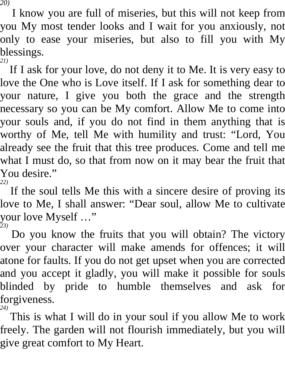I know you are full of miseries, but this will not keep from you My most tender looks and I wait for you anxiously, not only to ease your miseries, but also to fill you with My blessings. *21)* 

If I ask for your love, do not deny it to Me. It is very easy to love the One who is Love itself. If I ask for something dear to your nature, I give you both the grace and the strength necessary so you can be My comfort. Allow Me to come into your souls and, if you do not find in them anything that is worthy of Me, tell Me with humility and trust: "Lord, You already see the fruit that this tree produces. Come and tell me what I must do, so that from now on it may bear the fruit that You desire."

*22)* 

If the soul tells Me this with a sincere desire of proving its love to Me, I shall answer: "Dear soul, allow Me to cultivate your love Myself …" *23)* 

Do you know the fruits that you will obtain? The victory over your character will make amends for offences; it will atone for faults. If you do not get upset when you are corrected and you accept it gladly, you will make it possible for souls blinded by pride to humble themselves and ask for forgiveness.

<sup>24)</sup> This is what I will do in your soul if you allow Me to work freely. The garden will not flourish immediately, but you will give great comfort to My Heart.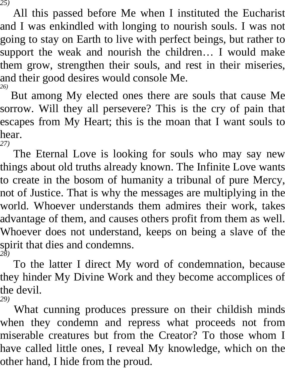All this passed before Me when I instituted the Eucharist and I was enkindled with longing to nourish souls. I was not going to stay on Earth to live with perfect beings, but rather to support the weak and nourish the children… I would make them grow, strengthen their souls, and rest in their miseries, and their good desires would console Me. *26)* 

But among My elected ones there are souls that cause Me sorrow. Will they all persevere? This is the cry of pain that escapes from My Heart; this is the moan that I want souls to hear. *27)* 

The Eternal Love is looking for souls who may say new things about old truths already known. The Infinite Love wants to create in the bosom of humanity a tribunal of pure Mercy, not of Justice. That is why the messages are multiplying in the world. Whoever understands them admires their work, takes advantage of them, and causes others profit from them as well. Whoever does not understand, keeps on being a slave of the spirit that dies and condemns. *28)* 

To the latter I direct My word of condemnation, because they hinder My Divine Work and they become accomplices of the devil. *29)* 

What cunning produces pressure on their childish minds when they condemn and repress what proceeds not from miserable creatures but from the Creator? To those whom I have called little ones, I reveal My knowledge, which on the other hand, I hide from the proud.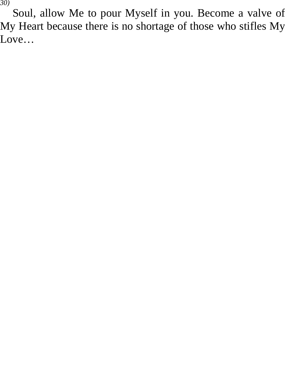Soul, allow Me to pour Myself in you. Become a valve of My Heart because there is no shortage of those who stifles My Love…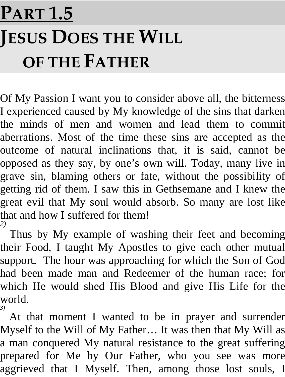### **PART 1.5 JESUS DOES THE WILL OF THE FATHER**

Of My Passion I want you to consider above all, the bitterness I experienced caused by My knowledge of the sins that darken the minds of men and women and lead them to commit aberrations. Most of the time these sins are accepted as the outcome of natural inclinations that, it is said, cannot be opposed as they say, by one's own will. Today, many live in grave sin, blaming others or fate, without the possibility of getting rid of them. I saw this in Gethsemane and I knew the great evil that My soul would absorb. So many are lost like that and how I suffered for them! *2)* 

Thus by My example of washing their feet and becoming their Food, I taught My Apostles to give each other mutual support. The hour was approaching for which the Son of God had been made man and Redeemer of the human race; for which He would shed His Blood and give His Life for the world. *3)* 

At that moment I wanted to be in prayer and surrender Myself to the Will of My Father… It was then that My Will as a man conquered My natural resistance to the great suffering prepared for Me by Our Father, who you see was more aggrieved that I Myself. Then, among those lost souls, I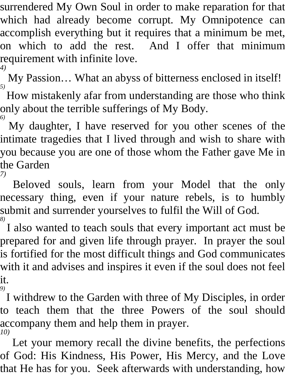surrendered My Own Soul in order to make reparation for that which had already become corrupt. My Omnipotence can accomplish everything but it requires that a minimum be met, on which to add the rest. And I offer that minimum requirement with infinite love. *4)* 

My Passion… What an abyss of bitterness enclosed in itself! *5)* 

How mistakenly afar from understanding are those who think only about the terrible sufferings of My Body. *6)* 

My daughter, I have reserved for you other scenes of the intimate tragedies that I lived through and wish to share with you because you are one of those whom the Father gave Me in the Garden *7)* 

Beloved souls, learn from your Model that the only necessary thing, even if your nature rebels, is to humbly submit and surrender yourselves to fulfil the Will of God. *8)* 

I also wanted to teach souls that every important act must be prepared for and given life through prayer. In prayer the soul is fortified for the most difficult things and God communicates with it and advises and inspires it even if the soul does not feel it. *9)* 

I withdrew to the Garden with three of My Disciples, in order to teach them that the three Powers of the soul should accompany them and help them in prayer. *10)* 

Let your memory recall the divine benefits, the perfections of God: His Kindness, His Power, His Mercy, and the Love that He has for you. Seek afterwards with understanding, how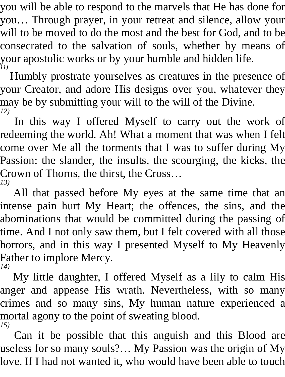you will be able to respond to the marvels that He has done for you… Through prayer, in your retreat and silence, allow your will to be moved to do the most and the best for God, and to be consecrated to the salvation of souls, whether by means of your apostolic works or by your humble and hidden life. *11)* 

Humbly prostrate yourselves as creatures in the presence of your Creator, and adore His designs over you, whatever they may be by submitting your will to the will of the Divine. *12)* 

In this way I offered Myself to carry out the work of redeeming the world. Ah! What a moment that was when I felt come over Me all the torments that I was to suffer during My Passion: the slander, the insults, the scourging, the kicks, the Crown of Thorns, the thirst, the Cross… *13)* 

All that passed before My eyes at the same time that an intense pain hurt My Heart; the offences, the sins, and the abominations that would be committed during the passing of time. And I not only saw them, but I felt covered with all those horrors, and in this way I presented Myself to My Heavenly Father to implore Mercy. *14)* 

My little daughter, I offered Myself as a lily to calm His anger and appease His wrath. Nevertheless, with so many crimes and so many sins, My human nature experienced a mortal agony to the point of sweating blood. *15)* 

Can it be possible that this anguish and this Blood are useless for so many souls?… My Passion was the origin of My love. If I had not wanted it, who would have been able to touch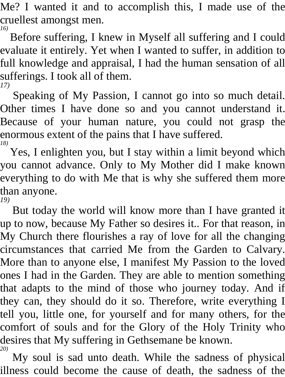Me? I wanted it and to accomplish this, I made use of the cruellest amongst men. *16)* 

Before suffering, I knew in Myself all suffering and I could evaluate it entirely. Yet when I wanted to suffer, in addition to full knowledge and appraisal, I had the human sensation of all sufferings. I took all of them. *17)* 

Speaking of My Passion, I cannot go into so much detail. Other times I have done so and you cannot understand it. Because of your human nature, you could not grasp the enormous extent of the pains that I have suffered. *18)* 

Yes, I enlighten you, but I stay within a limit beyond which you cannot advance. Only to My Mother did I make known everything to do with Me that is why she suffered them more than anyone. *19)* 

But today the world will know more than I have granted it up to now, because My Father so desires it.. For that reason, in My Church there flourishes a ray of love for all the changing circumstances that carried Me from the Garden to Calvary. More than to anyone else, I manifest My Passion to the loved ones I had in the Garden. They are able to mention something that adapts to the mind of those who journey today. And if they can, they should do it so. Therefore, write everything I tell you, little one, for yourself and for many others, for the comfort of souls and for the Glory of the Holy Trinity who desires that My suffering in Gethsemane be known. *20)*

 My soul is sad unto death. While the sadness of physical illness could become the cause of death, the sadness of the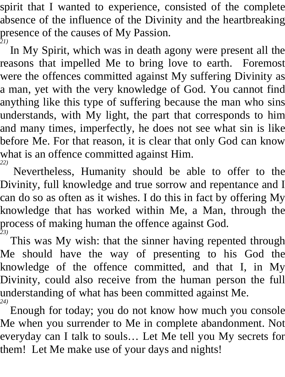spirit that I wanted to experience, consisted of the complete absence of the influence of the Divinity and the heartbreaking presence of the causes of My Passion. *21)* 

In My Spirit, which was in death agony were present all the reasons that impelled Me to bring love to earth. Foremost were the offences committed against My suffering Divinity as a man, yet with the very knowledge of God. You cannot find anything like this type of suffering because the man who sins understands, with My light, the part that corresponds to him and many times, imperfectly, he does not see what sin is like before Me. For that reason, it is clear that only God can know what is an offence committed against Him. *22)* 

Nevertheless, Humanity should be able to offer to the Divinity, full knowledge and true sorrow and repentance and I can do so as often as it wishes. I do this in fact by offering My knowledge that has worked within Me, a Man, through the process of making human the offence against God. *23)* 

This was My wish: that the sinner having repented through Me should have the way of presenting to his God the knowledge of the offence committed, and that I, in My Divinity, could also receive from the human person the full understanding of what has been committed against Me. *24)* 

Enough for today; you do not know how much you console Me when you surrender to Me in complete abandonment. Not everyday can I talk to souls… Let Me tell you My secrets for them! Let Me make use of your days and nights!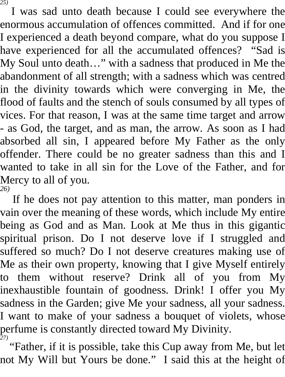I was sad unto death because I could see everywhere the enormous accumulation of offences committed. And if for one I experienced a death beyond compare, what do you suppose I have experienced for all the accumulated offences? "Sad is My Soul unto death…" with a sadness that produced in Me the abandonment of all strength; with a sadness which was centred in the divinity towards which were converging in Me, the flood of faults and the stench of souls consumed by all types of vices. For that reason, I was at the same time target and arrow - as God, the target, and as man, the arrow. As soon as I had absorbed all sin, I appeared before My Father as the only offender. There could be no greater sadness than this and I wanted to take in all sin for the Love of the Father, and for Mercy to all of you. *26)* 

If he does not pay attention to this matter, man ponders in vain over the meaning of these words, which include My entire being as God and as Man. Look at Me thus in this gigantic spiritual prison. Do I not deserve love if I struggled and suffered so much? Do I not deserve creatures making use of Me as their own property, knowing that I give Myself entirely to them without reserve? Drink all of you from My inexhaustible fountain of goodness. Drink! I offer you My sadness in the Garden; give Me your sadness, all your sadness. I want to make of your sadness a bouquet of violets, whose perfume is constantly directed toward My Divinity. *27)* 

"Father, if it is possible, take this Cup away from Me, but let not My Will but Yours be done." I said this at the height of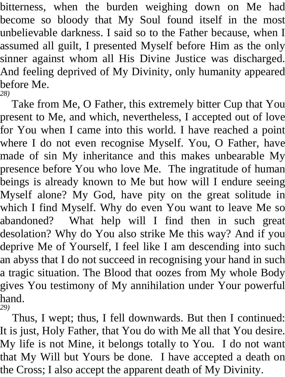bitterness, when the burden weighing down on Me had become so bloody that My Soul found itself in the most unbelievable darkness. I said so to the Father because, when I assumed all guilt, I presented Myself before Him as the only sinner against whom all His Divine Justice was discharged. And feeling deprived of My Divinity, only humanity appeared before Me. *28)* 

Take from Me, O Father, this extremely bitter Cup that You present to Me, and which, nevertheless, I accepted out of love for You when I came into this world. I have reached a point where I do not even recognise Myself. You, O Father, have made of sin My inheritance and this makes unbearable My presence before You who love Me. The ingratitude of human beings is already known to Me but how will I endure seeing Myself alone? My God, have pity on the great solitude in which I find Myself. Why do even You want to leave Me so abandoned? What help will I find then in such great desolation? Why do You also strike Me this way? And if you deprive Me of Yourself, I feel like I am descending into such an abyss that I do not succeed in recognising your hand in such a tragic situation. The Blood that oozes from My whole Body gives You testimony of My annihilation under Your powerful hand. *29)* 

Thus, I wept; thus, I fell downwards. But then I continued: It is just, Holy Father, that You do with Me all that You desire. My life is not Mine, it belongs totally to You. I do not want that My Will but Yours be done. I have accepted a death on the Cross; I also accept the apparent death of My Divinity.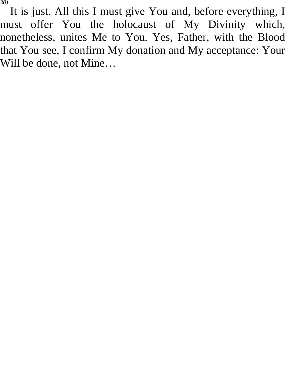It is just. All this I must give You and, before everything, I must offer You the holocaust of My Divinity which, nonetheless, unites Me to You. Yes, Father, with the Blood that You see, I confirm My donation and My acceptance: Your Will be done, not Mine…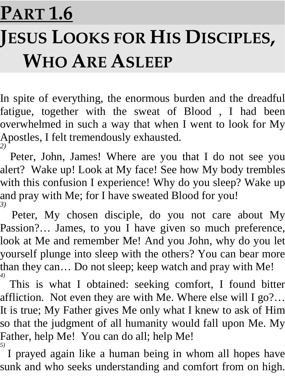### **PART 1.6 JESUS LOOKS FOR HIS DISCIPLES, WHO ARE ASLEEP**

In spite of everything, the enormous burden and the dreadful fatigue, together with the sweat of Blood , I had been overwhelmed in such a way that when I went to look for My Apostles, I felt tremendously exhausted. *2)* 

Peter, John, James! Where are you that I do not see you alert? Wake up! Look at My face! See how My body trembles with this confusion I experience! Why do you sleep? Wake up and pray with Me; for I have sweated Blood for you! *3)* 

Peter, My chosen disciple, do you not care about My Passion?… James, to you I have given so much preference, look at Me and remember Me! And you John, why do you let yourself plunge into sleep with the others? You can bear more than they can… Do not sleep; keep watch and pray with Me! *4)* 

This is what I obtained: seeking comfort, I found bitter affliction. Not even they are with Me. Where else will I go?… It is true; My Father gives Me only what I knew to ask of Him so that the judgment of all humanity would fall upon Me. My Father, help Me! You can do all; help Me! *5)* 

I prayed again like a human being in whom all hopes have sunk and who seeks understanding and comfort from on high.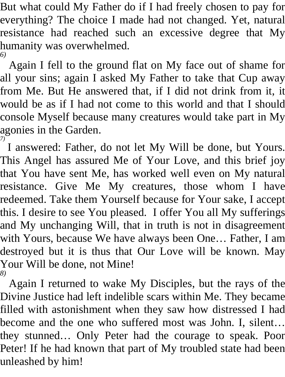But what could My Father do if I had freely chosen to pay for everything? The choice I made had not changed. Yet, natural resistance had reached such an excessive degree that My humanity was overwhelmed. *6)* 

Again I fell to the ground flat on My face out of shame for all your sins; again I asked My Father to take that Cup away from Me. But He answered that, if I did not drink from it, it would be as if I had not come to this world and that I should console Myself because many creatures would take part in My agonies in the Garden. *7)* 

I answered: Father, do not let My Will be done, but Yours. This Angel has assured Me of Your Love, and this brief joy that You have sent Me, has worked well even on My natural resistance. Give Me My creatures, those whom I have redeemed. Take them Yourself because for Your sake, I accept this. I desire to see You pleased. I offer You all My sufferings and My unchanging Will, that in truth is not in disagreement with Yours, because We have always been One… Father, I am destroyed but it is thus that Our Love will be known. May Your Will be done, not Mine! *8)* 

Again I returned to wake My Disciples, but the rays of the Divine Justice had left indelible scars within Me. They became filled with astonishment when they saw how distressed I had become and the one who suffered most was John. I, silent… they stunned… Only Peter had the courage to speak. Poor Peter! If he had known that part of My troubled state had been unleashed by him!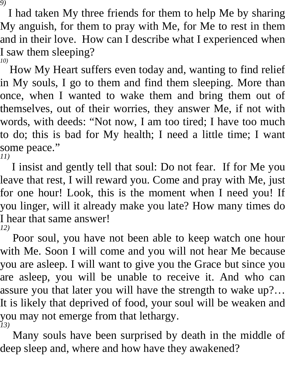I had taken My three friends for them to help Me by sharing My anguish, for them to pray with Me, for Me to rest in them and in their love. How can I describe what I experienced when I saw them sleeping? *10)* 

How My Heart suffers even today and, wanting to find relief in My souls, I go to them and find them sleeping. More than once, when I wanted to wake them and bring them out of themselves, out of their worries, they answer Me, if not with words, with deeds: "Not now, I am too tired; I have too much to do; this is bad for My health; I need a little time; I want some peace." *11)* 

I insist and gently tell that soul: Do not fear. If for Me you leave that rest, I will reward you. Come and pray with Me, just for one hour! Look, this is the moment when I need you! If you linger, will it already make you late? How many times do I hear that same answer! *12)* 

Poor soul, you have not been able to keep watch one hour with Me. Soon I will come and you will not hear Me because you are asleep. I will want to give you the Grace but since you are asleep, you will be unable to receive it. And who can assure you that later you will have the strength to wake up?… It is likely that deprived of food, your soul will be weaken and you may not emerge from that lethargy. *13)* 

Many souls have been surprised by death in the middle of deep sleep and, where and how have they awakened?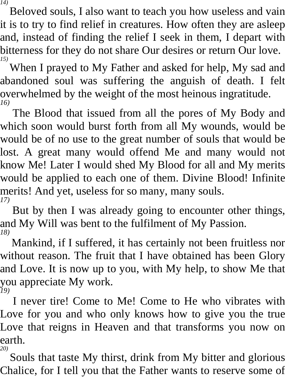Beloved souls, I also want to teach you how useless and vain it is to try to find relief in creatures. How often they are asleep and, instead of finding the relief I seek in them, I depart with bitterness for they do not share Our desires or return Our love. *15)* 

When I prayed to My Father and asked for help, My sad and abandoned soul was suffering the anguish of death. I felt overwhelmed by the weight of the most heinous ingratitude. *16)* 

The Blood that issued from all the pores of My Body and which soon would burst forth from all My wounds, would be would be of no use to the great number of souls that would be lost. A great many would offend Me and many would not know Me! Later I would shed My Blood for all and My merits would be applied to each one of them. Divine Blood! Infinite merits! And yet, useless for so many, many souls. *17)* 

But by then I was already going to encounter other things, and My Will was bent to the fulfilment of My Passion. *18)* 

Mankind, if I suffered, it has certainly not been fruitless nor without reason. The fruit that I have obtained has been Glory and Love. It is now up to you, with My help, to show Me that you appreciate My work. *19)* 

I never tire! Come to Me! Come to He who vibrates with Love for you and who only knows how to give you the true Love that reigns in Heaven and that transforms you now on earth. *20)* 

Souls that taste My thirst, drink from My bitter and glorious Chalice, for I tell you that the Father wants to reserve some of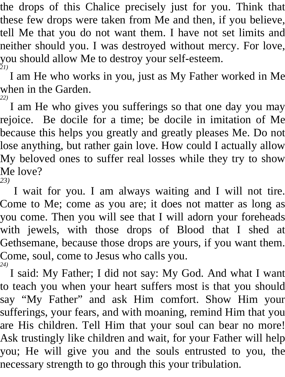the drops of this Chalice precisely just for you. Think that these few drops were taken from Me and then, if you believe, tell Me that you do not want them. I have not set limits and neither should you. I was destroyed without mercy. For love, you should allow Me to destroy your self-esteem. *21)* 

I am He who works in you, just as My Father worked in Me when in the Garden.

*22)*  I am He who gives you sufferings so that one day you may rejoice. Be docile for a time; be docile in imitation of Me because this helps you greatly and greatly pleases Me. Do not lose anything, but rather gain love. How could I actually allow My beloved ones to suffer real losses while they try to show Me love?

*23)* 

I wait for you. I am always waiting and I will not tire. Come to Me; come as you are; it does not matter as long as you come. Then you will see that I will adorn your foreheads with jewels, with those drops of Blood that I shed at Gethsemane, because those drops are yours, if you want them. Come, soul, come to Jesus who calls you.

*24)*  I said: My Father; I did not say: My God. And what I want to teach you when your heart suffers most is that you should say "My Father" and ask Him comfort. Show Him your sufferings, your fears, and with moaning, remind Him that you are His children. Tell Him that your soul can bear no more! Ask trustingly like children and wait, for your Father will help you; He will give you and the souls entrusted to you, the necessary strength to go through this your tribulation.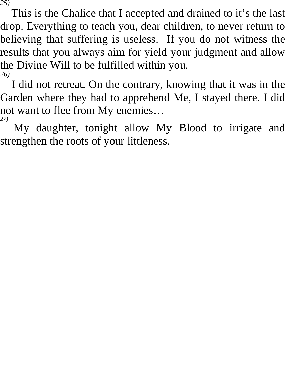This is the Chalice that I accepted and drained to it's the last drop. Everything to teach you, dear children, to never return to believing that suffering is useless. If you do not witness the results that you always aim for yield your judgment and allow the Divine Will to be fulfilled within you. *26)* 

I did not retreat. On the contrary, knowing that it was in the Garden where they had to apprehend Me, I stayed there. I did not want to flee from My enemies… *27)* 

My daughter, tonight allow My Blood to irrigate and strengthen the roots of your littleness.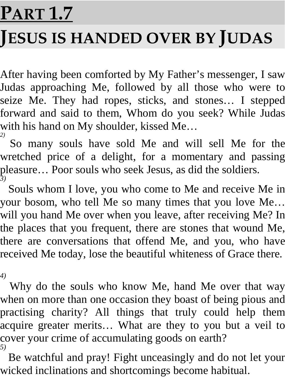#### **PART 1.7**

#### **JESUS IS HANDED OVER BY JUDAS**

After having been comforted by My Father's messenger, I saw Judas approaching Me, followed by all those who were to seize Me. They had ropes, sticks, and stones… I stepped forward and said to them, Whom do you seek? While Judas with his hand on My shoulder, kissed Me… *2)* 

So many souls have sold Me and will sell Me for the wretched price of a delight, for a momentary and passing pleasure… Poor souls who seek Jesus, as did the soldiers. *3)* 

Souls whom I love, you who come to Me and receive Me in your bosom, who tell Me so many times that you love Me… will you hand Me over when you leave, after receiving Me? In the places that you frequent, there are stones that wound Me, there are conversations that offend Me, and you, who have received Me today, lose the beautiful whiteness of Grace there.

*4)* 

Why do the souls who know Me, hand Me over that way when on more than one occasion they boast of being pious and practising charity? All things that truly could help them acquire greater merits… What are they to you but a veil to cover your crime of accumulating goods on earth? *5)* 

Be watchful and pray! Fight unceasingly and do not let your wicked inclinations and shortcomings become habitual.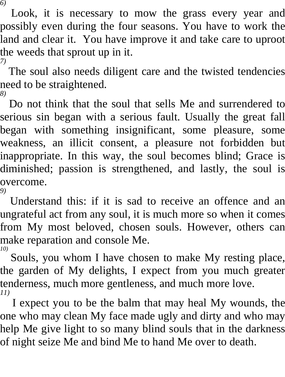Look, it is necessary to mow the grass every year and possibly even during the four seasons. You have to work the land and clear it. You have improve it and take care to uproot the weeds that sprout up in it. *7)* 

The soul also needs diligent care and the twisted tendencies need to be straightened. *8)* 

Do not think that the soul that sells Me and surrendered to serious sin began with a serious fault. Usually the great fall began with something insignificant, some pleasure, some weakness, an illicit consent, a pleasure not forbidden but inappropriate. In this way, the soul becomes blind; Grace is diminished; passion is strengthened, and lastly, the soul is overcome. *9)* 

Understand this: if it is sad to receive an offence and an ungrateful act from any soul, it is much more so when it comes from My most beloved, chosen souls. However, others can make reparation and console Me. *10)* 

Souls, you whom I have chosen to make My resting place, the garden of My delights, I expect from you much greater tenderness, much more gentleness, and much more love. *11)* 

I expect you to be the balm that may heal My wounds, the one who may clean My face made ugly and dirty and who may help Me give light to so many blind souls that in the darkness of night seize Me and bind Me to hand Me over to death.

*6)*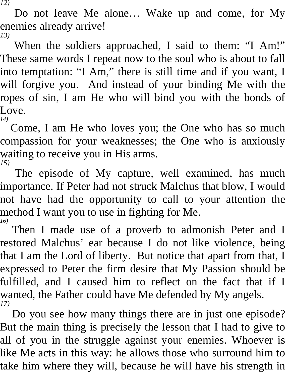Do not leave Me alone… Wake up and come, for My enemies already arrive! *13)* 

When the soldiers approached, I said to them: "I Am!" These same words I repeat now to the soul who is about to fall into temptation: "I Am," there is still time and if you want, I will forgive you. And instead of your binding Me with the ropes of sin, I am He who will bind you with the bonds of Love.

*14)*  Come, I am He who loves you; the One who has so much compassion for your weaknesses; the One who is anxiously waiting to receive you in His arms. *15)* 

The episode of My capture, well examined, has much importance. If Peter had not struck Malchus that blow, I would not have had the opportunity to call to your attention the method I want you to use in fighting for Me. *16)* 

Then I made use of a proverb to admonish Peter and I restored Malchus' ear because I do not like violence, being that I am the Lord of liberty. But notice that apart from that, I expressed to Peter the firm desire that My Passion should be fulfilled, and I caused him to reflect on the fact that if I wanted, the Father could have Me defended by My angels. *17)* 

Do you see how many things there are in just one episode? But the main thing is precisely the lesson that I had to give to all of you in the struggle against your enemies. Whoever is like Me acts in this way: he allows those who surround him to take him where they will, because he will have his strength in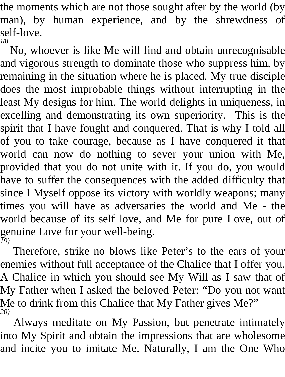the moments which are not those sought after by the world (by man), by human experience, and by the shrewdness of self-love. *18)* 

No, whoever is like Me will find and obtain unrecognisable and vigorous strength to dominate those who suppress him, by remaining in the situation where he is placed. My true disciple does the most improbable things without interrupting in the least My designs for him. The world delights in uniqueness, in excelling and demonstrating its own superiority. This is the spirit that I have fought and conquered. That is why I told all of you to take courage, because as I have conquered it that world can now do nothing to sever your union with Me, provided that you do not unite with it. If you do, you would have to suffer the consequences with the added difficulty that since I Myself oppose its victory with worldly weapons; many times you will have as adversaries the world and Me - the world because of its self love, and Me for pure Love, out of genuine Love for your well-being. *19)* 

Therefore, strike no blows like Peter's to the ears of your enemies without full acceptance of the Chalice that I offer you. A Chalice in which you should see My Will as I saw that of My Father when I asked the beloved Peter: "Do you not want Me to drink from this Chalice that My Father gives Me?" *20)* 

Always meditate on My Passion, but penetrate intimately into My Spirit and obtain the impressions that are wholesome and incite you to imitate Me. Naturally, I am the One Who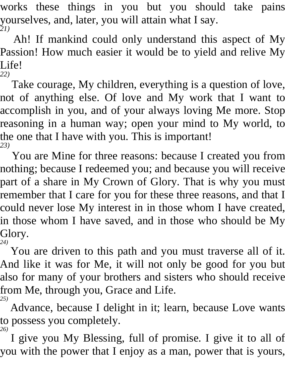works these things in you but you should take pains yourselves, and, later, you will attain what I say. *21)* 

Ah! If mankind could only understand this aspect of My Passion! How much easier it would be to yield and relive My Life! *22)* 

Take courage, My children, everything is a question of love, not of anything else. Of love and My work that I want to accomplish in you, and of your always loving Me more. Stop reasoning in a human way; open your mind to My world, to the one that I have with you. This is important! *23)* 

You are Mine for three reasons: because I created you from nothing; because I redeemed you; and because you will receive part of a share in My Crown of Glory. That is why you must remember that I care for you for these three reasons, and that I could never lose My interest in in those whom I have created, in those whom I have saved, and in those who should be My Glory. *24)* 

You are driven to this path and you must traverse all of it. And like it was for Me, it will not only be good for you but also for many of your brothers and sisters who should receive from Me, through you, Grace and Life. *25)* 

Advance, because I delight in it; learn, because Love wants to possess you completely. *26)* 

I give you My Blessing, full of promise. I give it to all of you with the power that I enjoy as a man, power that is yours,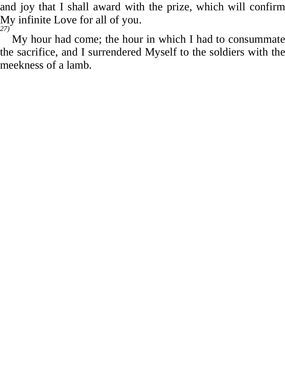and joy that I shall award with the prize, which will confirm My infinite Love for all of you. *27)* 

My hour had come; the hour in which I had to consummate the sacrifice, and I surrendered Myself to the soldiers with the meekness of a lamb.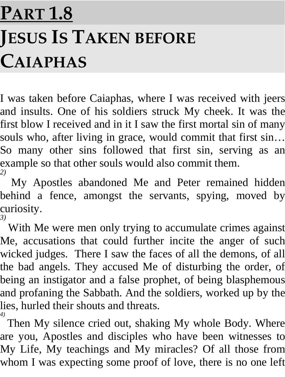## **PART 1.8 JESUS IS TAKEN BEFORE CAIAPHAS**

I was taken before Caiaphas, where I was received with jeers and insults. One of his soldiers struck My cheek. It was the first blow I received and in it I saw the first mortal sin of many souls who, after living in grace, would commit that first sin... So many other sins followed that first sin, serving as an example so that other souls would also commit them. *2)* 

My Apostles abandoned Me and Peter remained hidden behind a fence, amongst the servants, spying, moved by curiosity. *3)* 

With Me were men only trying to accumulate crimes against Me, accusations that could further incite the anger of such wicked judges. There I saw the faces of all the demons, of all the bad angels. They accused Me of disturbing the order, of being an instigator and a false prophet, of being blasphemous and profaning the Sabbath. And the soldiers, worked up by the lies, hurled their shouts and threats.

*4)*  Then My silence cried out, shaking My whole Body. Where are you, Apostles and disciples who have been witnesses to My Life, My teachings and My miracles? Of all those from whom I was expecting some proof of love, there is no one left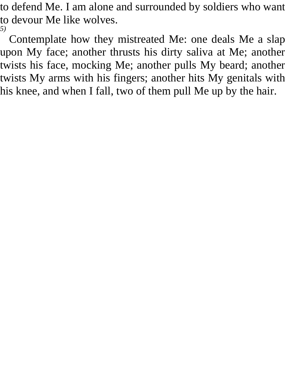to defend Me. I am alone and surrounded by soldiers who want to devour Me like wolves. *5)* 

Contemplate how they mistreated Me: one deals Me a slap upon My face; another thrusts his dirty saliva at Me; another twists his face, mocking Me; another pulls My beard; another twists My arms with his fingers; another hits My genitals with his knee, and when I fall, two of them pull Me up by the hair.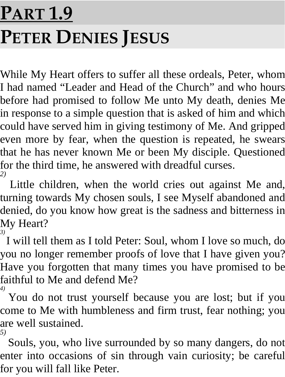## **PART 1.9 PETER DENIES JESUS**

While My Heart offers to suffer all these ordeals, Peter, whom I had named "Leader and Head of the Church" and who hours before had promised to follow Me unto My death, denies Me in response to a simple question that is asked of him and which could have served him in giving testimony of Me. And gripped even more by fear, when the question is repeated, he swears that he has never known Me or been My disciple. Questioned for the third time, he answered with dreadful curses. *2)* 

Little children, when the world cries out against Me and, turning towards My chosen souls, I see Myself abandoned and denied, do you know how great is the sadness and bitterness in My Heart? *3)* 

I will tell them as I told Peter: Soul, whom I love so much, do you no longer remember proofs of love that I have given you? Have you forgotten that many times you have promised to be faithful to Me and defend Me? *4)* 

You do not trust yourself because you are lost; but if you come to Me with humbleness and firm trust, fear nothing; you are well sustained. *5)* 

Souls, you, who live surrounded by so many dangers, do not enter into occasions of sin through vain curiosity; be careful for you will fall like Peter.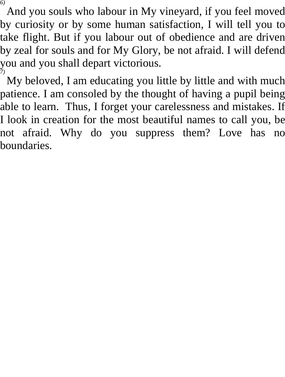And you souls who labour in My vineyard, if you feel moved by curiosity or by some human satisfaction, I will tell you to take flight. But if you labour out of obedience and are driven by zeal for souls and for My Glory, be not afraid. I will defend you and you shall depart victorious. *7)* 

My beloved, I am educating you little by little and with much patience. I am consoled by the thought of having a pupil being able to learn. Thus, I forget your carelessness and mistakes. If I look in creation for the most beautiful names to call you, be not afraid. Why do you suppress them? Love has no boundaries.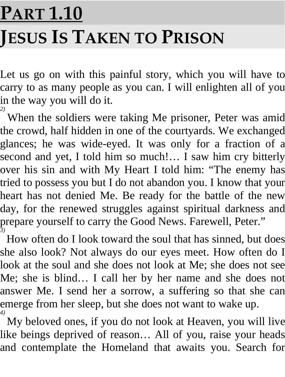## **PART 1.10 JESUS IS TAKEN TO PRISON**

Let us go on with this painful story, which you will have to carry to as many people as you can. I will enlighten all of you in the way you will do it.

<sup>2)</sup> When the soldiers were taking Me prisoner, Peter was amid the crowd, half hidden in one of the courtyards. We exchanged glances; he was wide-eyed. It was only for a fraction of a second and yet, I told him so much!... I saw him cry bitterly over his sin and with My Heart I told him: "The enemy has tried to possess you but I do not abandon you. I know that your heart has not denied Me. Be ready for the battle of the new day, for the renewed struggles against spiritual darkness and prepare yourself to carry the Good News. Farewell, Peter." *3)* 

How often do I look toward the soul that has sinned, but does she also look? Not always do our eyes meet. How often do I look at the soul and she does not look at Me; she does not see Me; she is blind… I call her by her name and she does not answer Me. I send her a sorrow, a suffering so that she can emerge from her sleep, but she does not want to wake up. *4)* 

My beloved ones, if you do not look at Heaven, you will live like beings deprived of reason… All of you, raise your heads and contemplate the Homeland that awaits you. Search for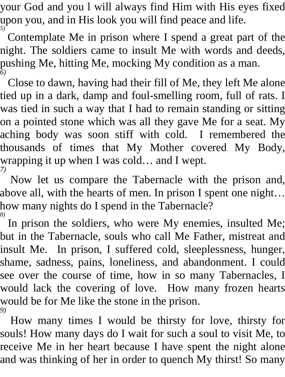your God and you l will always find Him with His eyes fixed upon you, and in His look you will find peace and life. *5)* 

Contemplate Me in prison where I spend a great part of the night. The soldiers came to insult Me with words and deeds, pushing Me, hitting Me, mocking My condition as a man. *6)* 

Close to dawn, having had their fill of Me, they left Me alone tied up in a dark, damp and foul-smelling room, full of rats. I was tied in such a way that I had to remain standing or sitting on a pointed stone which was all they gave Me for a seat. My aching body was soon stiff with cold. I remembered the thousands of times that My Mother covered My Body, wrapping it up when I was cold… and I wept. *7)* 

Now let us compare the Tabernacle with the prison and, above all, with the hearts of men. In prison I spent one night… how many nights do I spend in the Tabernacle? *8)* 

In prison the soldiers, who were My enemies, insulted Me; but in the Tabernacle, souls who call Me Father, mistreat and insult Me. In prison, I suffered cold, sleeplessness, hunger, shame, sadness, pains, loneliness, and abandonment. I could see over the course of time, how in so many Tabernacles, I would lack the covering of love. How many frozen hearts would be for Me like the stone in the prison. *9)* 

How many times I would be thirsty for love, thirsty for souls! How many days do I wait for such a soul to visit Me, to receive Me in her heart because I have spent the night alone and was thinking of her in order to quench My thirst! So many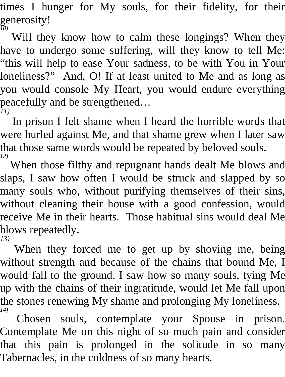times I hunger for My souls, for their fidelity, for their generosity! *10)* 

Will they know how to calm these longings? When they have to undergo some suffering, will they know to tell Me: "this will help to ease Your sadness, to be with You in Your loneliness?" And, O! If at least united to Me and as long as you would console My Heart, you would endure everything peacefully and be strengthened… *11)* 

In prison I felt shame when I heard the horrible words that were hurled against Me, and that shame grew when I later saw that those same words would be repeated by beloved souls. *12)* 

When those filthy and repugnant hands dealt Me blows and slaps, I saw how often I would be struck and slapped by so many souls who, without purifying themselves of their sins, without cleaning their house with a good confession, would receive Me in their hearts. Those habitual sins would deal Me blows repeatedly. *13)* 

When they forced me to get up by shoving me, being without strength and because of the chains that bound Me, I would fall to the ground. I saw how so many souls, tying Me up with the chains of their ingratitude, would let Me fall upon the stones renewing My shame and prolonging My loneliness. *14)* 

Chosen souls, contemplate your Spouse in prison. Contemplate Me on this night of so much pain and consider that this pain is prolonged in the solitude in so many Tabernacles, in the coldness of so many hearts.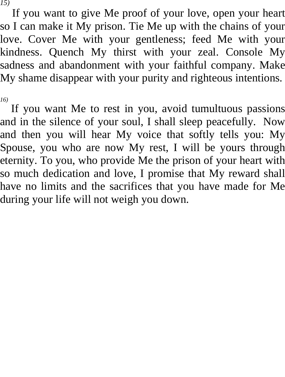If you want to give Me proof of your love, open your heart so I can make it My prison. Tie Me up with the chains of your love. Cover Me with your gentleness; feed Me with your kindness. Quench My thirst with your zeal. Console My sadness and abandonment with your faithful company. Make My shame disappear with your purity and righteous intentions.

*16)* 

If you want Me to rest in you, avoid tumultuous passions and in the silence of your soul, I shall sleep peacefully. Now and then you will hear My voice that softly tells you: My Spouse, you who are now My rest, I will be yours through eternity. To you, who provide Me the prison of your heart with so much dedication and love, I promise that My reward shall have no limits and the sacrifices that you have made for Me during your life will not weigh you down.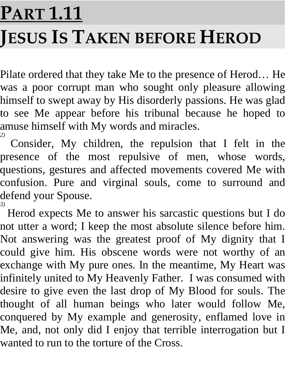# **PART 1.11 JESUS IS TAKEN BEFORE HEROD**

Pilate ordered that they take Me to the presence of Herod… He was a poor corrupt man who sought only pleasure allowing himself to swept away by His disorderly passions. He was glad to see Me appear before his tribunal because he hoped to amuse himself with My words and miracles. *2)* 

Consider, My children, the repulsion that I felt in the presence of the most repulsive of men, whose words, questions, gestures and affected movements covered Me with confusion. Pure and virginal souls, come to surround and defend your Spouse. *3)* 

Herod expects Me to answer his sarcastic questions but I do not utter a word; I keep the most absolute silence before him. Not answering was the greatest proof of My dignity that I could give him. His obscene words were not worthy of an exchange with My pure ones. In the meantime, My Heart was infinitely united to My Heavenly Father. I was consumed with desire to give even the last drop of My Blood for souls. The thought of all human beings who later would follow Me, conquered by My example and generosity, enflamed love in Me, and, not only did I enjoy that terrible interrogation but I wanted to run to the torture of the Cross.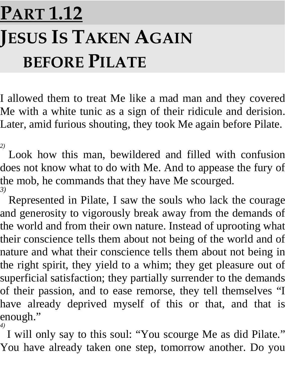### **PART 1.12 JESUS IS TAKEN AGAIN BEFORE PILATE**

I allowed them to treat Me like a mad man and they covered Me with a white tunic as a sign of their ridicule and derision. Later, amid furious shouting, they took Me again before Pilate.

*2)*  Look how this man, bewildered and filled with confusion does not know what to do with Me. And to appease the fury of the mob, he commands that they have Me scourged. *3)* 

Represented in Pilate, I saw the souls who lack the courage and generosity to vigorously break away from the demands of the world and from their own nature. Instead of uprooting what their conscience tells them about not being of the world and of nature and what their conscience tells them about not being in the right spirit, they yield to a whim; they get pleasure out of superficial satisfaction; they partially surrender to the demands of their passion, and to ease remorse, they tell themselves "I have already deprived myself of this or that, and that is enough."

*4)*  I will only say to this soul: "You scourge Me as did Pilate." You have already taken one step, tomorrow another. Do you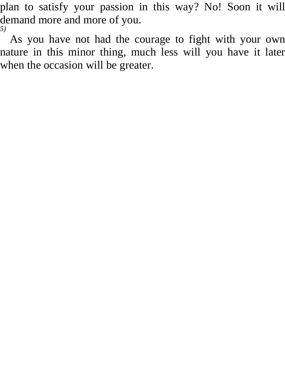plan to satisfy your passion in this way? No! Soon it will demand more and more of you. *5)* 

As you have not had the courage to fight with your own nature in this minor thing, much less will you have it later when the occasion will be greater.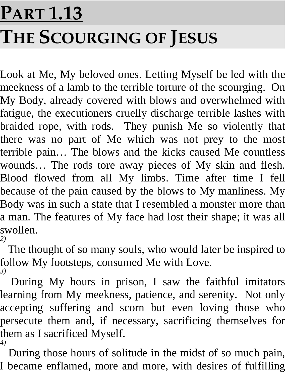## **PART 1.13 THE SCOURGING OF JESUS**

Look at Me, My beloved ones. Letting Myself be led with the meekness of a lamb to the terrible torture of the scourging. On My Body, already covered with blows and overwhelmed with fatigue, the executioners cruelly discharge terrible lashes with braided rope, with rods. They punish Me so violently that there was no part of Me which was not prey to the most terrible pain… The blows and the kicks caused Me countless wounds… The rods tore away pieces of My skin and flesh. Blood flowed from all My limbs. Time after time I fell because of the pain caused by the blows to My manliness. My Body was in such a state that I resembled a monster more than a man. The features of My face had lost their shape; it was all swollen. *2)* 

The thought of so many souls, who would later be inspired to follow My footsteps, consumed Me with Love. *3)* 

During My hours in prison, I saw the faithful imitators learning from My meekness, patience, and serenity. Not only accepting suffering and scorn but even loving those who persecute them and, if necessary, sacrificing themselves for them as I sacrificed Myself. *4)* 

During those hours of solitude in the midst of so much pain, I became enflamed, more and more, with desires of fulfilling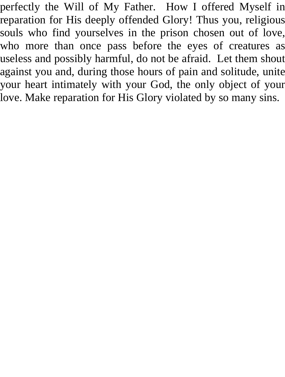perfectly the Will of My Father. How I offered Myself in reparation for His deeply offended Glory! Thus you, religious souls who find yourselves in the prison chosen out of love, who more than once pass before the eyes of creatures as useless and possibly harmful, do not be afraid. Let them shout against you and, during those hours of pain and solitude, unite your heart intimately with your God, the only object of your love. Make reparation for His Glory violated by so many sins.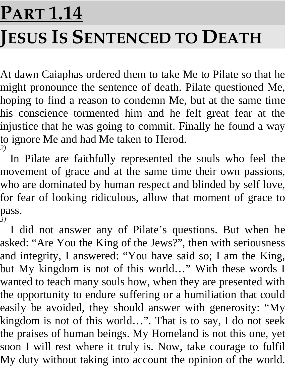## **PART 1.14 JESUS IS SENTENCED TO DEATH**

At dawn Caiaphas ordered them to take Me to Pilate so that he might pronounce the sentence of death. Pilate questioned Me, hoping to find a reason to condemn Me, but at the same time his conscience tormented him and he felt great fear at the injustice that he was going to commit. Finally he found a way to ignore Me and had Me taken to Herod. *2)* 

In Pilate are faithfully represented the souls who feel the movement of grace and at the same time their own passions, who are dominated by human respect and blinded by self love, for fear of looking ridiculous, allow that moment of grace to pass. *3)* 

I did not answer any of Pilate's questions. But when he asked: "Are You the King of the Jews?", then with seriousness and integrity, I answered: "You have said so; I am the King, but My kingdom is not of this world…" With these words I wanted to teach many souls how, when they are presented with the opportunity to endure suffering or a humiliation that could easily be avoided, they should answer with generosity: "My kingdom is not of this world…". That is to say, I do not seek the praises of human beings. My Homeland is not this one, yet soon I will rest where it truly is. Now, take courage to fulfil My duty without taking into account the opinion of the world.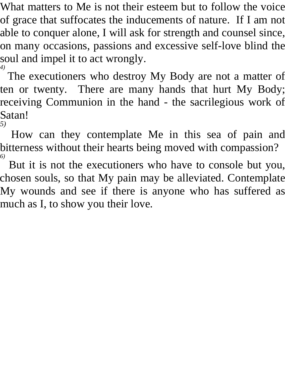What matters to Me is not their esteem but to follow the voice of grace that suffocates the inducements of nature. If I am not able to conquer alone, I will ask for strength and counsel since, on many occasions, passions and excessive self-love blind the soul and impel it to act wrongly.

*4)*  The executioners who destroy My Body are not a matter of ten or twenty. There are many hands that hurt My Body; receiving Communion in the hand - the sacrilegious work of Satan!

*5)* 

How can they contemplate Me in this sea of pain and bitterness without their hearts being moved with compassion? *6)*

 But it is not the executioners who have to console but you, chosen souls, so that My pain may be alleviated. Contemplate My wounds and see if there is anyone who has suffered as much as I, to show you their love.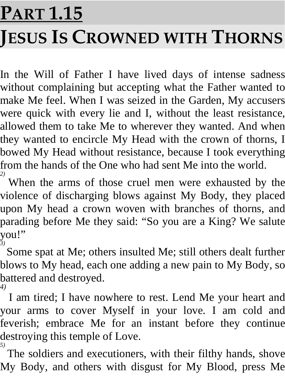# **PART 1.15 JESUS IS CROWNED WITH THORNS**

In the Will of Father I have lived days of intense sadness without complaining but accepting what the Father wanted to make Me feel. When I was seized in the Garden, My accusers were quick with every lie and I, without the least resistance, allowed them to take Me to wherever they wanted. And when they wanted to encircle My Head with the crown of thorns, I bowed My Head without resistance, because I took everything from the hands of the One who had sent Me into the world.

*2)*  When the arms of those cruel men were exhausted by the violence of discharging blows against My Body, they placed upon My head a crown woven with branches of thorns, and parading before Me they said: "So you are a King? We salute you!"

*3)*  Some spat at Me; others insulted Me; still others dealt further blows to My head, each one adding a new pain to My Body, so battered and destroyed. *4)* 

I am tired; I have nowhere to rest. Lend Me your heart and your arms to cover Myself in your love. I am cold and feverish; embrace Me for an instant before they continue destroying this temple of Love. *5)* 

The soldiers and executioners, with their filthy hands, shove My Body, and others with disgust for My Blood, press Me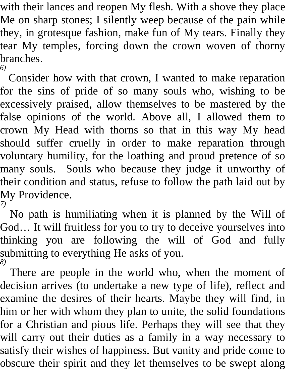with their lances and reopen My flesh. With a shove they place Me on sharp stones; I silently weep because of the pain while they, in grotesque fashion, make fun of My tears. Finally they tear My temples, forcing down the crown woven of thorny branches. *6)* 

Consider how with that crown, I wanted to make reparation for the sins of pride of so many souls who, wishing to be excessively praised, allow themselves to be mastered by the false opinions of the world. Above all, I allowed them to crown My Head with thorns so that in this way My head should suffer cruelly in order to make reparation through voluntary humility, for the loathing and proud pretence of so many souls. Souls who because they judge it unworthy of their condition and status, refuse to follow the path laid out by My Providence. *7)* 

No path is humiliating when it is planned by the Will of God… It will fruitless for you to try to deceive yourselves into thinking you are following the will of God and fully submitting to everything He asks of you. *8)* 

There are people in the world who, when the moment of decision arrives (to undertake a new type of life), reflect and examine the desires of their hearts. Maybe they will find, in him or her with whom they plan to unite, the solid foundations for a Christian and pious life. Perhaps they will see that they will carry out their duties as a family in a way necessary to satisfy their wishes of happiness. But vanity and pride come to obscure their spirit and they let themselves to be swept along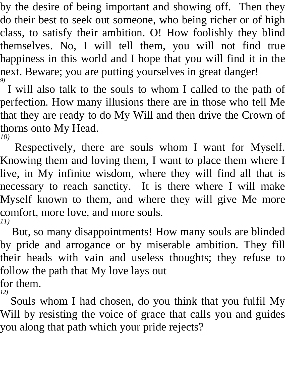by the desire of being important and showing off. Then they do their best to seek out someone, who being richer or of high class, to satisfy their ambition. O! How foolishly they blind themselves. No, I will tell them, you will not find true happiness in this world and I hope that you will find it in the next. Beware; you are putting yourselves in great danger! *9)* 

I will also talk to the souls to whom I called to the path of perfection. How many illusions there are in those who tell Me that they are ready to do My Will and then drive the Crown of thorns onto My Head.

*10)* 

Respectively, there are souls whom I want for Myself. Knowing them and loving them, I want to place them where I live, in My infinite wisdom, where they will find all that is necessary to reach sanctity. It is there where I will make Myself known to them, and where they will give Me more comfort, more love, and more souls. *11)* 

But, so many disappointments! How many souls are blinded by pride and arrogance or by miserable ambition. They fill their heads with vain and useless thoughts; they refuse to follow the path that My love lays out for them.

*12)* 

Souls whom I had chosen, do you think that you fulfil My Will by resisting the voice of grace that calls you and guides you along that path which your pride rejects?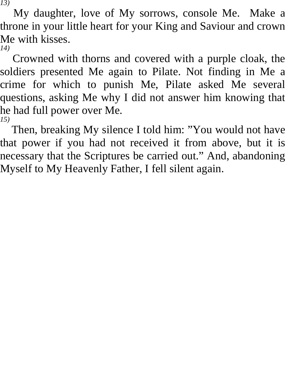My daughter, love of My sorrows, console Me. Make a throne in your little heart for your King and Saviour and crown Me with kisses. *14)* 

Crowned with thorns and covered with a purple cloak, the soldiers presented Me again to Pilate. Not finding in Me a crime for which to punish Me, Pilate asked Me several questions, asking Me why I did not answer him knowing that he had full power over Me. *15)* 

Then, breaking My silence I told him: "You would not have that power if you had not received it from above, but it is necessary that the Scriptures be carried out." And, abandoning Myself to My Heavenly Father, I fell silent again.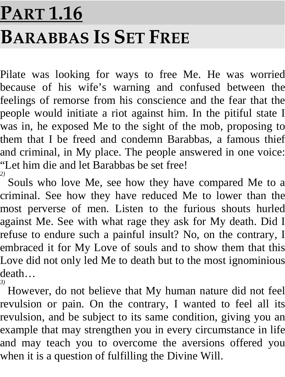#### **PART 1.16 BARABBAS IS SET FREE**

Pilate was looking for ways to free Me. He was worried because of his wife's warning and confused between the feelings of remorse from his conscience and the fear that the people would initiate a riot against him. In the pitiful state I was in, he exposed Me to the sight of the mob, proposing to them that I be freed and condemn Barabbas, a famous thief and criminal, in My place. The people answered in one voice: "Let him die and let Barabbas be set free! *2)* 

Souls who love Me, see how they have compared Me to a criminal. See how they have reduced Me to lower than the most perverse of men. Listen to the furious shouts hurled against Me. See with what rage they ask for My death. Did I refuse to endure such a painful insult? No, on the contrary, I embraced it for My Love of souls and to show them that this Love did not only led Me to death but to the most ignominious death…

*3)*  However, do not believe that My human nature did not feel revulsion or pain. On the contrary, I wanted to feel all its revulsion, and be subject to its same condition, giving you an example that may strengthen you in every circumstance in life and may teach you to overcome the aversions offered you when it is a question of fulfilling the Divine Will.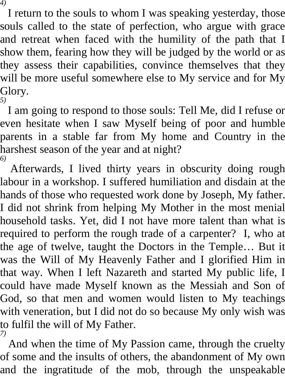I return to the souls to whom I was speaking yesterday, those souls called to the state of perfection, who argue with grace and retreat when faced with the humility of the path that I show them, fearing how they will be judged by the world or as they assess their capabilities, convince themselves that they will be more useful somewhere else to My service and for My Glory. *5)* 

I am going to respond to those souls: Tell Me, did I refuse or even hesitate when I saw Myself being of poor and humble parents in a stable far from My home and Country in the harshest season of the year and at night? *6)* 

Afterwards, I lived thirty years in obscurity doing rough labour in a workshop. I suffered humiliation and disdain at the hands of those who requested work done by Joseph, My father. I did not shrink from helping My Mother in the most menial household tasks. Yet, did I not have more talent than what is required to perform the rough trade of a carpenter? I, who at the age of twelve, taught the Doctors in the Temple… But it was the Will of My Heavenly Father and I glorified Him in that way. When I left Nazareth and started My public life, I could have made Myself known as the Messiah and Son of God, so that men and women would listen to My teachings with veneration, but I did not do so because My only wish was to fulfil the will of My Father. *7)* 

And when the time of My Passion came, through the cruelty of some and the insults of others, the abandonment of My own and the ingratitude of the mob, through the unspeakable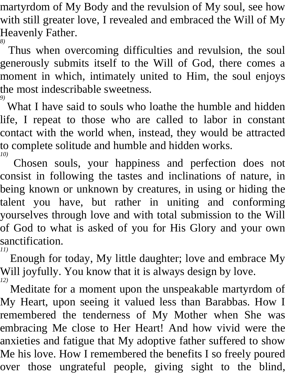martyrdom of My Body and the revulsion of My soul, see how with still greater love, I revealed and embraced the Will of My Heavenly Father.

*8)*  Thus when overcoming difficulties and revulsion, the soul generously submits itself to the Will of God, there comes a moment in which, intimately united to Him, the soul enjoys the most indescribable sweetness.

*9)*  What I have said to souls who loathe the humble and hidden life, I repeat to those who are called to labor in constant contact with the world when, instead, they would be attracted to complete solitude and humble and hidden works. *10)* 

Chosen souls, your happiness and perfection does not consist in following the tastes and inclinations of nature, in being known or unknown by creatures, in using or hiding the talent you have, but rather in uniting and conforming yourselves through love and with total submission to the Will of God to what is asked of you for His Glory and your own sanctification. *11)* 

Enough for today, My little daughter; love and embrace My Will joyfully. You know that it is always design by love. *12)* 

Meditate for a moment upon the unspeakable martyrdom of My Heart, upon seeing it valued less than Barabbas. How I remembered the tenderness of My Mother when She was embracing Me close to Her Heart! And how vivid were the anxieties and fatigue that My adoptive father suffered to show Me his love. How I remembered the benefits I so freely poured over those ungrateful people, giving sight to the blind,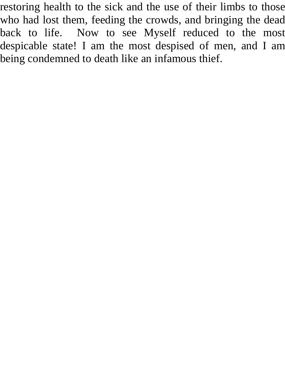restoring health to the sick and the use of their limbs to those who had lost them, feeding the crowds, and bringing the dead back to life. Now to see Myself reduced to the most despicable state! I am the most despised of men, and I am being condemned to death like an infamous thief.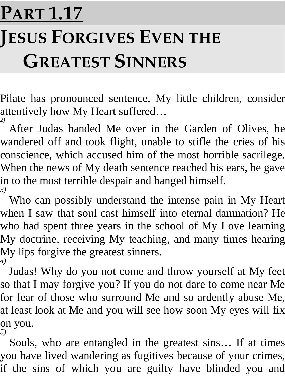### **PART 1.17 JESUS FORGIVES EVEN THE GREATEST SINNERS**

Pilate has pronounced sentence. My little children, consider attentively how My Heart suffered… *2)* 

After Judas handed Me over in the Garden of Olives, he wandered off and took flight, unable to stifle the cries of his conscience, which accused him of the most horrible sacrilege. When the news of My death sentence reached his ears, he gave in to the most terrible despair and hanged himself. *3)* 

Who can possibly understand the intense pain in My Heart when I saw that soul cast himself into eternal damnation? He who had spent three years in the school of My Love learning My doctrine, receiving My teaching, and many times hearing My lips forgive the greatest sinners. *4)* 

Judas! Why do you not come and throw yourself at My feet so that I may forgive you? If you do not dare to come near Me for fear of those who surround Me and so ardently abuse Me, at least look at Me and you will see how soon My eyes will fix on you. *5)* 

Souls, who are entangled in the greatest sins… If at times you have lived wandering as fugitives because of your crimes, if the sins of which you are guilty have blinded you and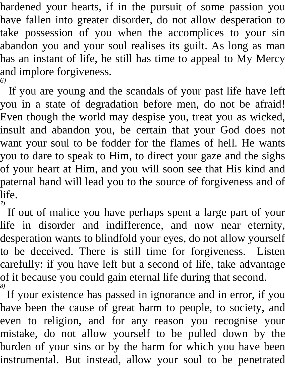hardened your hearts, if in the pursuit of some passion you have fallen into greater disorder, do not allow desperation to take possession of you when the accomplices to your sin abandon you and your soul realises its guilt. As long as man has an instant of life, he still has time to appeal to My Mercy and implore forgiveness. *6)* 

If you are young and the scandals of your past life have left you in a state of degradation before men, do not be afraid! Even though the world may despise you, treat you as wicked, insult and abandon you, be certain that your God does not want your soul to be fodder for the flames of hell. He wants you to dare to speak to Him, to direct your gaze and the sighs of your heart at Him, and you will soon see that His kind and paternal hand will lead you to the source of forgiveness and of life. *7)* 

If out of malice you have perhaps spent a large part of your life in disorder and indifference, and now near eternity, desperation wants to blindfold your eyes, do not allow yourself to be deceived. There is still time for forgiveness. Listen carefully: if you have left but a second of life, take advantage of it because you could gain eternal life during that second. *8)* 

If your existence has passed in ignorance and in error, if you have been the cause of great harm to people, to society, and even to religion, and for any reason you recognise your mistake, do not allow yourself to be pulled down by the burden of your sins or by the harm for which you have been instrumental. But instead, allow your soul to be penetrated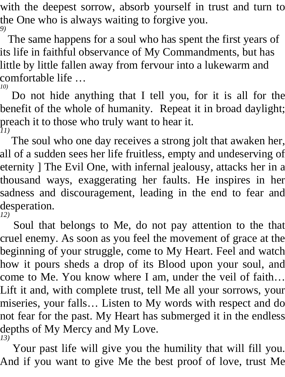with the deepest sorrow, absorb yourself in trust and turn to the One who is always waiting to forgive you. *9)* 

The same happens for a soul who has spent the first years of its life in faithful observance of My Commandments, but has little by little fallen away from fervour into a lukewarm and comfortable life …

*10)* 

Do not hide anything that I tell you, for it is all for the benefit of the whole of humanity. Repeat it in broad daylight; preach it to those who truly want to hear it. *11)* 

The soul who one day receives a strong jolt that awaken her, all of a sudden sees her life fruitless, empty and undeserving of eternity ] The Evil One, with infernal jealousy, attacks her in a thousand ways, exaggerating her faults. He inspires in her sadness and discouragement, leading in the end to fear and desperation. *12)* 

Soul that belongs to Me, do not pay attention to the that cruel enemy. As soon as you feel the movement of grace at the beginning of your struggle, come to My Heart. Feel and watch how it pours sheds a drop of its Blood upon your soul, and come to Me. You know where I am, under the veil of faith… Lift it and, with complete trust, tell Me all your sorrows, your miseries, your falls… Listen to My words with respect and do not fear for the past. My Heart has submerged it in the endless depths of My Mercy and My Love. *13)* 

Your past life will give you the humility that will fill you. And if you want to give Me the best proof of love, trust Me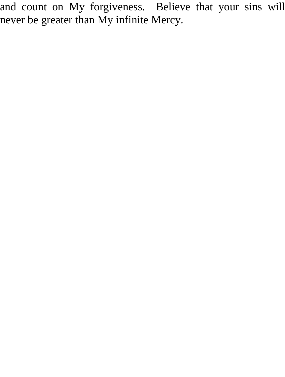and count on My forgiveness. Believe that your sins will never be greater than My infinite Mercy.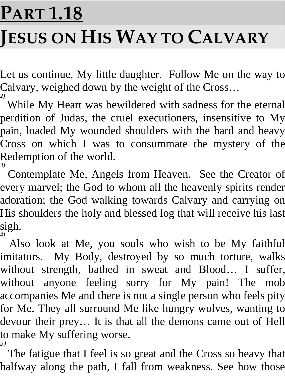# **PART 1.18 JESUS ON HIS WAY TO CALVARY**

Let us continue, My little daughter. Follow Me on the way to Calvary, weighed down by the weight of the Cross…

<sup>2)</sup> While My Heart was bewildered with sadness for the eternal perdition of Judas, the cruel executioners, insensitive to My pain, loaded My wounded shoulders with the hard and heavy Cross on which I was to consummate the mystery of the Redemption of the world.

<sup>3)</sup> Contemplate Me, Angels from Heaven. See the Creator of every marvel; the God to whom all the heavenly spirits render adoration; the God walking towards Calvary and carrying on His shoulders the holy and blessed log that will receive his last sigh. *4)* 

Also look at Me, you souls who wish to be My faithful imitators. My Body, destroyed by so much torture, walks without strength, bathed in sweat and Blood… I suffer, without anyone feeling sorry for My pain! The mob accompanies Me and there is not a single person who feels pity for Me. They all surround Me like hungry wolves, wanting to devour their prey… It is that all the demons came out of Hell to make My suffering worse. *5)* 

The fatigue that I feel is so great and the Cross so heavy that halfway along the path, I fall from weakness. See how those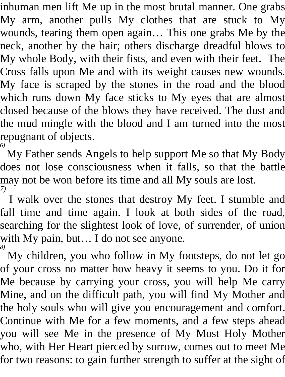inhuman men lift Me up in the most brutal manner. One grabs My arm, another pulls My clothes that are stuck to My wounds, tearing them open again… This one grabs Me by the neck, another by the hair; others discharge dreadful blows to My whole Body, with their fists, and even with their feet. The Cross falls upon Me and with its weight causes new wounds. My face is scraped by the stones in the road and the blood which runs down My face sticks to My eyes that are almost closed because of the blows they have received. The dust and the mud mingle with the blood and I am turned into the most repugnant of objects. *6)* 

My Father sends Angels to help support Me so that My Body does not lose consciousness when it falls, so that the battle may not be won before its time and all My souls are lost. *7)* 

I walk over the stones that destroy My feet. I stumble and fall time and time again. I look at both sides of the road, searching for the slightest look of love, of surrender, of union with My pain, but... I do not see anyone.

*8)*  My children, you who follow in My footsteps, do not let go of your cross no matter how heavy it seems to you. Do it for Me because by carrying your cross, you will help Me carry Mine, and on the difficult path, you will find My Mother and the holy souls who will give you encouragement and comfort. Continue with Me for a few moments, and a few steps ahead you will see Me in the presence of My Most Holy Mother who, with Her Heart pierced by sorrow, comes out to meet Me for two reasons: to gain further strength to suffer at the sight of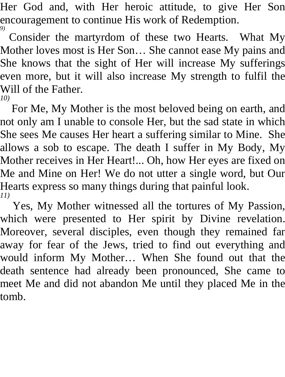Her God and, with Her heroic attitude, to give Her Son encouragement to continue His work of Redemption. *9)* 

Consider the martyrdom of these two Hearts. What My Mother loves most is Her Son… She cannot ease My pains and She knows that the sight of Her will increase My sufferings even more, but it will also increase My strength to fulfil the Will of the Father. *10)* 

For Me, My Mother is the most beloved being on earth, and not only am I unable to console Her, but the sad state in which She sees Me causes Her heart a suffering similar to Mine. She allows a sob to escape. The death I suffer in My Body, My Mother receives in Her Heart!... Oh, how Her eyes are fixed on Me and Mine on Her! We do not utter a single word, but Our Hearts express so many things during that painful look. *11)* 

Yes, My Mother witnessed all the tortures of My Passion, which were presented to Her spirit by Divine revelation. Moreover, several disciples, even though they remained far away for fear of the Jews, tried to find out everything and would inform My Mother… When She found out that the death sentence had already been pronounced, She came to meet Me and did not abandon Me until they placed Me in the tomb.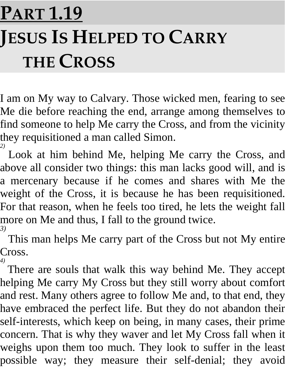## **PART 1.19 JESUS IS HELPED TO CARRY THE CROSS**

I am on My way to Calvary. Those wicked men, fearing to see Me die before reaching the end, arrange among themselves to find someone to help Me carry the Cross, and from the vicinity they requisitioned a man called Simon.

<sup>2)</sup> Look at him behind Me, helping Me carry the Cross, and above all consider two things: this man lacks good will, and is a mercenary because if he comes and shares with Me the weight of the Cross, it is because he has been requisitioned. For that reason, when he feels too tired, he lets the weight fall more on Me and thus, I fall to the ground twice. *3)* 

This man helps Me carry part of the Cross but not My entire Cross. *4)* 

There are souls that walk this way behind Me. They accept helping Me carry My Cross but they still worry about comfort and rest. Many others agree to follow Me and, to that end, they have embraced the perfect life. But they do not abandon their self-interests, which keep on being, in many cases, their prime concern. That is why they waver and let My Cross fall when it weighs upon them too much. They look to suffer in the least possible way; they measure their self-denial; they avoid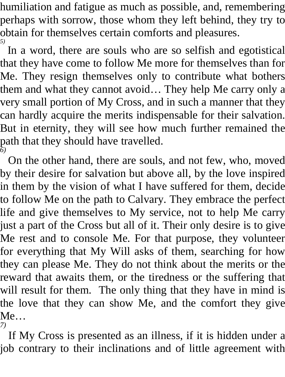humiliation and fatigue as much as possible, and, remembering perhaps with sorrow, those whom they left behind, they try to obtain for themselves certain comforts and pleasures. *5)* 

In a word, there are souls who are so selfish and egotistical that they have come to follow Me more for themselves than for Me. They resign themselves only to contribute what bothers them and what they cannot avoid… They help Me carry only a very small portion of My Cross, and in such a manner that they can hardly acquire the merits indispensable for their salvation. But in eternity, they will see how much further remained the path that they should have travelled. *6)* 

On the other hand, there are souls, and not few, who, moved by their desire for salvation but above all, by the love inspired in them by the vision of what I have suffered for them, decide to follow Me on the path to Calvary. They embrace the perfect life and give themselves to My service, not to help Me carry just a part of the Cross but all of it. Their only desire is to give Me rest and to console Me. For that purpose, they volunteer for everything that My Will asks of them, searching for how they can please Me. They do not think about the merits or the reward that awaits them, or the tiredness or the suffering that will result for them. The only thing that they have in mind is the love that they can show Me, and the comfort they give Me…

*7)* 

If My Cross is presented as an illness, if it is hidden under a job contrary to their inclinations and of little agreement with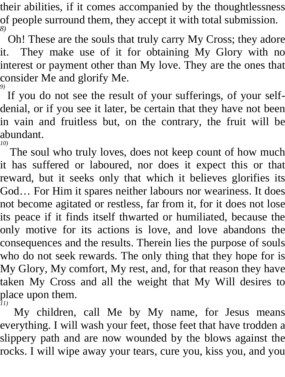their abilities, if it comes accompanied by the thoughtlessness of people surround them, they accept it with total submission. *8)* 

Oh! These are the souls that truly carry My Cross; they adore it. They make use of it for obtaining My Glory with no interest or payment other than My love. They are the ones that consider Me and glorify Me. *9)* 

If you do not see the result of your sufferings, of your selfdenial, or if you see it later, be certain that they have not been in vain and fruitless but, on the contrary, the fruit will be abundant. *10)* 

The soul who truly loves, does not keep count of how much it has suffered or laboured, nor does it expect this or that reward, but it seeks only that which it believes glorifies its God… For Him it spares neither labours nor weariness. It does not become agitated or restless, far from it, for it does not lose its peace if it finds itself thwarted or humiliated, because the only motive for its actions is love, and love abandons the consequences and the results. Therein lies the purpose of souls who do not seek rewards. The only thing that they hope for is My Glory, My comfort, My rest, and, for that reason they have taken My Cross and all the weight that My Will desires to place upon them. *11)* 

My children, call Me by My name, for Jesus means everything. I will wash your feet, those feet that have trodden a slippery path and are now wounded by the blows against the rocks. I will wipe away your tears, cure you, kiss you, and you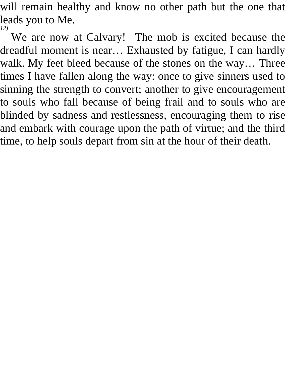will remain healthy and know no other path but the one that leads you to Me. *12)* 

We are now at Calvary! The mob is excited because the dreadful moment is near… Exhausted by fatigue, I can hardly walk. My feet bleed because of the stones on the way… Three times I have fallen along the way: once to give sinners used to sinning the strength to convert; another to give encouragement to souls who fall because of being frail and to souls who are blinded by sadness and restlessness, encouraging them to rise and embark with courage upon the path of virtue; and the third time, to help souls depart from sin at the hour of their death.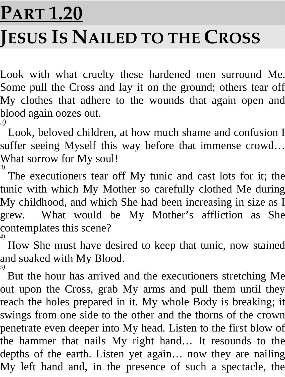# **PART 1.20 JESUS IS NAILED TO THE CROSS**

Look with what cruelty these hardened men surround Me. Some pull the Cross and lay it on the ground; others tear off My clothes that adhere to the wounds that again open and blood again oozes out. *2)* 

Look, beloved children, at how much shame and confusion I suffer seeing Myself this way before that immense crowd… What sorrow for My soul!

<sup>3)</sup> The executioners tear off My tunic and cast lots for it; the tunic with which My Mother so carefully clothed Me during My childhood, and which She had been increasing in size as I grew. What would be My Mother's affliction as She contemplates this scene? *4)* 

How She must have desired to keep that tunic, now stained and soaked with My Blood. *5)* 

But the hour has arrived and the executioners stretching Me out upon the Cross, grab My arms and pull them until they reach the holes prepared in it. My whole Body is breaking; it swings from one side to the other and the thorns of the crown penetrate even deeper into My head. Listen to the first blow of the hammer that nails My right hand… It resounds to the depths of the earth. Listen yet again… now they are nailing My left hand and, in the presence of such a spectacle, the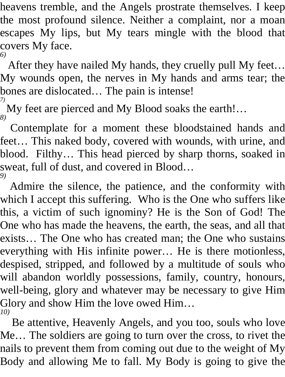heavens tremble, and the Angels prostrate themselves. I keep the most profound silence. Neither a complaint, nor a moan escapes My lips, but My tears mingle with the blood that covers My face. *6)* 

After they have nailed My hands, they cruelly pull My feet… My wounds open, the nerves in My hands and arms tear; the bones are dislocated… The pain is intense!

*7)*  My feet are pierced and My Blood soaks the earth!… *8)* 

Contemplate for a moment these bloodstained hands and feet… This naked body, covered with wounds, with urine, and blood. Filthy… This head pierced by sharp thorns, soaked in sweat, full of dust, and covered in Blood… *9)* 

Admire the silence, the patience, and the conformity with which I accept this suffering. Who is the One who suffers like this, a victim of such ignominy? He is the Son of God! The One who has made the heavens, the earth, the seas, and all that exists… The One who has created man; the One who sustains everything with His infinite power… He is there motionless, despised, stripped, and followed by a multitude of souls who will abandon worldly possessions, family, country, honours, well-being, glory and whatever may be necessary to give Him Glory and show Him the love owed Him… *10)* 

Be attentive, Heavenly Angels, and you too, souls who love Me… The soldiers are going to turn over the cross, to rivet the nails to prevent them from coming out due to the weight of My Body and allowing Me to fall. My Body is going to give the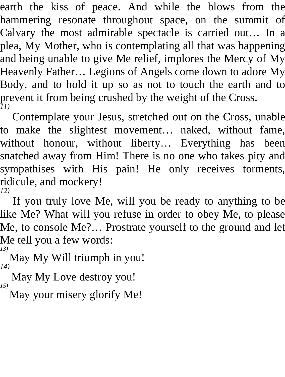earth the kiss of peace. And while the blows from the hammering resonate throughout space, on the summit of Calvary the most admirable spectacle is carried out… In a plea, My Mother, who is contemplating all that was happening and being unable to give Me relief, implores the Mercy of My Heavenly Father… Legions of Angels come down to adore My Body, and to hold it up so as not to touch the earth and to prevent it from being crushed by the weight of the Cross. *11)* 

Contemplate your Jesus, stretched out on the Cross, unable to make the slightest movement… naked, without fame, without honour, without liberty… Everything has been snatched away from Him! There is no one who takes pity and sympathises with His pain! He only receives torments, ridicule, and mockery! *12)* 

If you truly love Me, will you be ready to anything to be like Me? What will you refuse in order to obey Me, to please Me, to console Me?… Prostrate yourself to the ground and let Me tell you a few words: *13)* 

May My Will triumph in you! *14)* 

May My Love destroy you! *15)* 

May your misery glorify Me!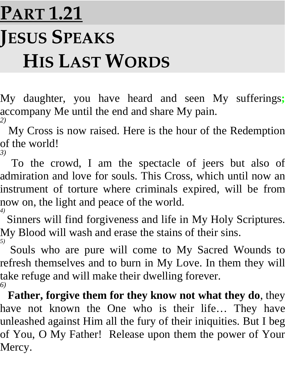## **PART 1.21 JESUS SPEAKS HIS LAST WORDS**

My daughter, you have heard and seen My sufferings**;** accompany Me until the end and share My pain. *2)* 

My Cross is now raised. Here is the hour of the Redemption of the world! *3)* 

To the crowd, I am the spectacle of jeers but also of admiration and love for souls. This Cross, which until now an instrument of torture where criminals expired, will be from now on, the light and peace of the world. *4)* 

Sinners will find forgiveness and life in My Holy Scriptures. My Blood will wash and erase the stains of their sins. *5)*

 Souls who are pure will come to My Sacred Wounds to refresh themselves and to burn in My Love. In them they will take refuge and will make their dwelling forever. *6)* 

**Father, forgive them for they know not what they do**, they have not known the One who is their life… They have unleashed against Him all the fury of their iniquities. But I beg of You, O My Father! Release upon them the power of Your Mercy.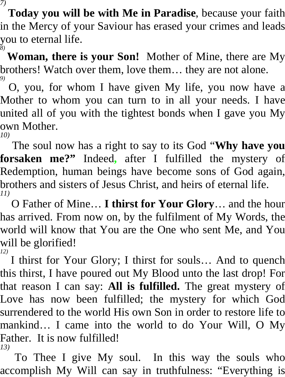*7)*  **Today you will be with Me in Paradise**, because your faith

in the Mercy of your Saviour has erased your crimes and leads you to eternal life.

*8)*  **Woman, there is your Son!** Mother of Mine, there are My brothers! Watch over them, love them… they are not alone. *9)* 

O, you, for whom I have given My life, you now have a Mother to whom you can turn to in all your needs. I have united all of you with the tightest bonds when I gave you My own Mother.

*10)* 

The soul now has a right to say to its God "**Why have you forsaken me?"** Indeed**,** after I fulfilled the mystery of Redemption, human beings have become sons of God again, brothers and sisters of Jesus Christ, and heirs of eternal life. *11)* 

O Father of Mine… **I thirst for Your Glory**… and the hour has arrived. From now on, by the fulfilment of My Words, the world will know that You are the One who sent Me, and You will be glorified! *12)* 

I thirst for Your Glory; I thirst for souls… And to quench this thirst, I have poured out My Blood unto the last drop! For that reason I can say: **All is fulfilled.** The great mystery of Love has now been fulfilled; the mystery for which God surrendered to the world His own Son in order to restore life to mankind… I came into the world to do Your Will, O My Father. It is now fulfilled! *13)* 

To Thee I give My soul. In this way the souls who accomplish My Will can say in truthfulness: "Everything is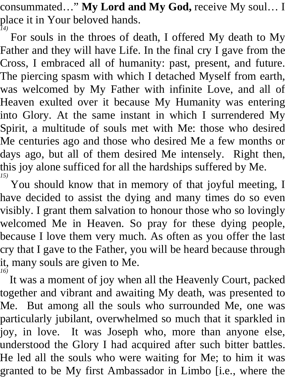consummated…" **My Lord and My God,** receive My soul… I place it in Your beloved hands. *14)* 

For souls in the throes of death, I offered My death to My Father and they will have Life. In the final cry I gave from the Cross, I embraced all of humanity: past, present, and future. The piercing spasm with which I detached Myself from earth, was welcomed by My Father with infinite Love, and all of Heaven exulted over it because My Humanity was entering into Glory. At the same instant in which I surrendered My Spirit, a multitude of souls met with Me: those who desired Me centuries ago and those who desired Me a few months or days ago, but all of them desired Me intensely. Right then, this joy alone sufficed for all the hardships suffered by Me. *15)* 

You should know that in memory of that joyful meeting, I have decided to assist the dying and many times do so even visibly. I grant them salvation to honour those who so lovingly welcomed Me in Heaven. So pray for these dying people, because I love them very much. As often as you offer the last cry that I gave to the Father, you will be heard because through it, many souls are given to Me. *16)* 

It was a moment of joy when all the Heavenly Court, packed together and vibrant and awaiting My death, was presented to Me. But among all the souls who surrounded Me, one was particularly jubilant, overwhelmed so much that it sparkled in joy, in love. It was Joseph who, more than anyone else, understood the Glory I had acquired after such bitter battles. He led all the souls who were waiting for Me; to him it was granted to be My first Ambassador in Limbo [i.e., where the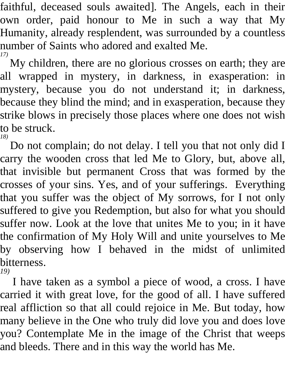faithful, deceased souls awaited]. The Angels, each in their own order, paid honour to Me in such a way that My Humanity, already resplendent, was surrounded by a countless number of Saints who adored and exalted Me. *17)* 

My children, there are no glorious crosses on earth; they are all wrapped in mystery, in darkness, in exasperation: in mystery, because you do not understand it; in darkness, because they blind the mind; and in exasperation, because they strike blows in precisely those places where one does not wish to be struck.

*18)* 

Do not complain; do not delay. I tell you that not only did I carry the wooden cross that led Me to Glory, but, above all, that invisible but permanent Cross that was formed by the crosses of your sins. Yes, and of your sufferings. Everything that you suffer was the object of My sorrows, for I not only suffered to give you Redemption, but also for what you should suffer now. Look at the love that unites Me to you; in it have the confirmation of My Holy Will and unite yourselves to Me by observing how I behaved in the midst of unlimited bitterness. *19)* 

I have taken as a symbol a piece of wood, a cross. I have carried it with great love, for the good of all. I have suffered real affliction so that all could rejoice in Me. But today, how many believe in the One who truly did love you and does love you? Contemplate Me in the image of the Christ that weeps and bleeds. There and in this way the world has Me.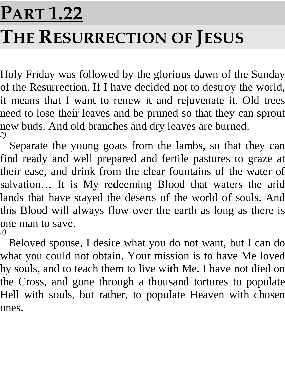# **PART 1.22 THE RESURRECTION OF JESUS**

Holy Friday was followed by the glorious dawn of the Sunday of the Resurrection. If I have decided not to destroy the world, it means that I want to renew it and rejuvenate it. Old trees need to lose their leaves and be pruned so that they can sprout new buds. And old branches and dry leaves are burned. *2)* 

Separate the young goats from the lambs, so that they can find ready and well prepared and fertile pastures to graze at their ease, and drink from the clear fountains of the water of salvation… It is My redeeming Blood that waters the arid lands that have stayed the deserts of the world of souls. And this Blood will always flow over the earth as long as there is one man to save. *3)* 

Beloved spouse, I desire what you do not want, but I can do what you could not obtain. Your mission is to have Me loved by souls, and to teach them to live with Me. I have not died on the Cross, and gone through a thousand tortures to populate Hell with souls, but rather, to populate Heaven with chosen ones.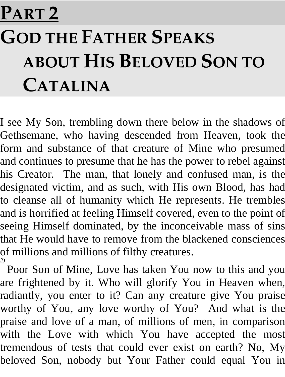## **PART 2**

## **GOD THE FATHER SPEAKS ABOUT HIS BELOVED SON TO CATALINA**

I see My Son, trembling down there below in the shadows of Gethsemane, who having descended from Heaven, took the form and substance of that creature of Mine who presumed and continues to presume that he has the power to rebel against his Creator. The man, that lonely and confused man, is the designated victim, and as such, with His own Blood, has had to cleanse all of humanity which He represents. He trembles and is horrified at feeling Himself covered, even to the point of seeing Himself dominated, by the inconceivable mass of sins that He would have to remove from the blackened consciences of millions and millions of filthy creatures.

<sup>2)</sup> Poor Son of Mine, Love has taken You now to this and you are frightened by it. Who will glorify You in Heaven when, radiantly, you enter to it? Can any creature give You praise worthy of You, any love worthy of You? And what is the praise and love of a man, of millions of men, in comparison with the Love with which You have accepted the most tremendous of tests that could ever exist on earth? No, My beloved Son, nobody but Your Father could equal You in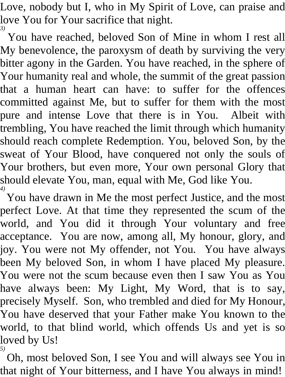Love, nobody but I, who in My Spirit of Love, can praise and love You for Your sacrifice that night. *3)* 

You have reached, beloved Son of Mine in whom I rest all My benevolence, the paroxysm of death by surviving the very bitter agony in the Garden. You have reached, in the sphere of Your humanity real and whole, the summit of the great passion that a human heart can have: to suffer for the offences committed against Me, but to suffer for them with the most pure and intense Love that there is in You. Albeit with trembling, You have reached the limit through which humanity should reach complete Redemption. You, beloved Son, by the sweat of Your Blood, have conquered not only the souls of Your brothers, but even more, Your own personal Glory that should elevate You, man, equal with Me, God like You. *4)* 

You have drawn in Me the most perfect Justice, and the most perfect Love. At that time they represented the scum of the world, and You did it through Your voluntary and free acceptance. You are now, among all, My honour, glory, and joy. You were not My offender, not You. You have always been My beloved Son, in whom I have placed My pleasure. You were not the scum because even then I saw You as You have always been: My Light, My Word, that is to say, precisely Myself. Son, who trembled and died for My Honour, You have deserved that your Father make You known to the world, to that blind world, which offends Us and yet is so loved by Us! *5)* 

Oh, most beloved Son, I see You and will always see You in that night of Your bitterness, and I have You always in mind!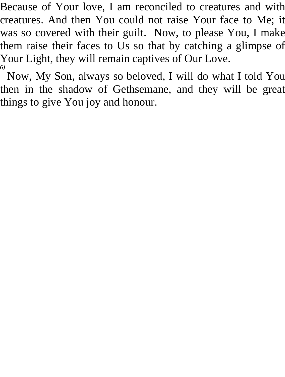Because of Your love, I am reconciled to creatures and with creatures. And then You could not raise Your face to Me; it was so covered with their guilt. Now, to please You, I make them raise their faces to Us so that by catching a glimpse of Your Light, they will remain captives of Our Love.

*6)*  Now, My Son, always so beloved, I will do what I told You then in the shadow of Gethsemane, and they will be great things to give You joy and honour.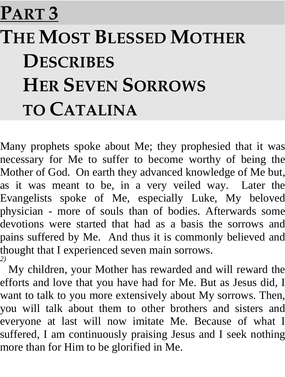## **PART 3**

## **THE MOST BLESSED MOTHER DESCRIBES HER SEVEN SORROWS TO CATALINA**

Many prophets spoke about Me; they prophesied that it was necessary for Me to suffer to become worthy of being the Mother of God. On earth they advanced knowledge of Me but, as it was meant to be, in a very veiled way. Later the Evangelists spoke of Me, especially Luke, My beloved physician - more of souls than of bodies. Afterwards some devotions were started that had as a basis the sorrows and pains suffered by Me. And thus it is commonly believed and thought that I experienced seven main sorrows. *2)* 

My children, your Mother has rewarded and will reward the efforts and love that you have had for Me. But as Jesus did, I want to talk to you more extensively about My sorrows. Then, you will talk about them to other brothers and sisters and everyone at last will now imitate Me. Because of what I suffered, I am continuously praising Jesus and I seek nothing more than for Him to be glorified in Me.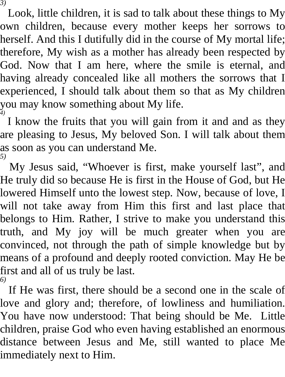*3)* 

Look, little children, it is sad to talk about these things to My own children, because every mother keeps her sorrows to herself. And this I dutifully did in the course of My mortal life; therefore, My wish as a mother has already been respected by God. Now that I am here, where the smile is eternal, and having already concealed like all mothers the sorrows that I experienced, I should talk about them so that as My children you may know something about My life. *4)* 

I know the fruits that you will gain from it and and as they are pleasing to Jesus, My beloved Son. I will talk about them as soon as you can understand Me. *5)* 

My Jesus said, "Whoever is first, make yourself last", and He truly did so because He is first in the House of God, but He lowered Himself unto the lowest step. Now, because of love, I will not take away from Him this first and last place that belongs to Him. Rather, I strive to make you understand this truth, and My joy will be much greater when you are convinced, not through the path of simple knowledge but by means of a profound and deeply rooted conviction. May He be first and all of us truly be last. *6)* 

If He was first, there should be a second one in the scale of love and glory and; therefore, of lowliness and humiliation. You have now understood: That being should be Me. Little children, praise God who even having established an enormous distance between Jesus and Me, still wanted to place Me immediately next to Him.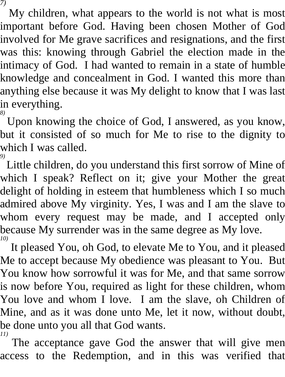*7)*  My children, what appears to the world is not what is most

important before God. Having been chosen Mother of God involved for Me grave sacrifices and resignations, and the first was this: knowing through Gabriel the election made in the intimacy of God. I had wanted to remain in a state of humble knowledge and concealment in God. I wanted this more than anything else because it was My delight to know that I was last in everything. *8)* 

Upon knowing the choice of God, I answered, as you know, but it consisted of so much for Me to rise to the dignity to which I was called. *9)* 

Little children, do you understand this first sorrow of Mine of which I speak? Reflect on it; give your Mother the great delight of holding in esteem that humbleness which I so much admired above My virginity. Yes, I was and I am the slave to whom every request may be made, and I accepted only because My surrender was in the same degree as My love. *10)*

 It pleased You, oh God, to elevate Me to You, and it pleased Me to accept because My obedience was pleasant to You. But You know how sorrowful it was for Me, and that same sorrow is now before You, required as light for these children, whom You love and whom I love. I am the slave, oh Children of Mine, and as it was done unto Me, let it now, without doubt, be done unto you all that God wants. *11)* 

The acceptance gave God the answer that will give men access to the Redemption, and in this was verified that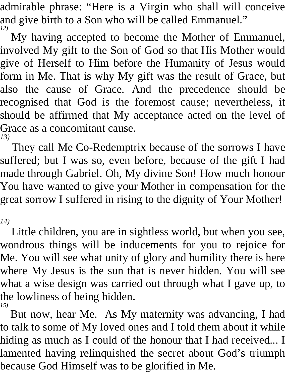admirable phrase: "Here is a Virgin who shall will conceive and give birth to a Son who will be called Emmanuel." *12)* 

My having accepted to become the Mother of Emmanuel, involved My gift to the Son of God so that His Mother would give of Herself to Him before the Humanity of Jesus would form in Me. That is why My gift was the result of Grace, but also the cause of Grace. And the precedence should be recognised that God is the foremost cause; nevertheless, it should be affirmed that My acceptance acted on the level of Grace as a concomitant cause. *13)* 

They call Me Co-Redemptrix because of the sorrows I have suffered; but I was so, even before, because of the gift I had made through Gabriel. Oh, My divine Son! How much honour You have wanted to give your Mother in compensation for the great sorrow I suffered in rising to the dignity of Your Mother!

*14)* 

Little children, you are in sightless world, but when you see, wondrous things will be inducements for you to rejoice for Me. You will see what unity of glory and humility there is here where My Jesus is the sun that is never hidden. You will see what a wise design was carried out through what I gave up, to the lowliness of being hidden. *15)* 

But now, hear Me. As My maternity was advancing, I had to talk to some of My loved ones and I told them about it while hiding as much as I could of the honour that I had received... I lamented having relinquished the secret about God's triumph because God Himself was to be glorified in Me.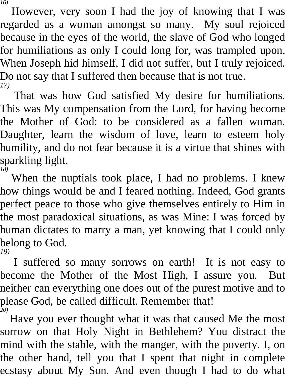*16)* 

However, very soon I had the joy of knowing that I was regarded as a woman amongst so many. My soul rejoiced because in the eyes of the world, the slave of God who longed for humiliations as only I could long for, was trampled upon. When Joseph hid himself, I did not suffer, but I truly rejoiced. Do not say that I suffered then because that is not true. *17)* 

That was how God satisfied My desire for humiliations. This was My compensation from the Lord, for having become the Mother of God: to be considered as a fallen woman. Daughter, learn the wisdom of love, learn to esteem holy humility, and do not fear because it is a virtue that shines with sparkling light. *18)* 

When the nuptials took place, I had no problems. I knew how things would be and I feared nothing. Indeed, God grants perfect peace to those who give themselves entirely to Him in the most paradoxical situations, as was Mine: I was forced by human dictates to marry a man, yet knowing that I could only belong to God.

*19)* 

I suffered so many sorrows on earth! It is not easy to become the Mother of the Most High, I assure you. But neither can everything one does out of the purest motive and to please God, be called difficult. Remember that! *20)* 

Have you ever thought what it was that caused Me the most sorrow on that Holy Night in Bethlehem? You distract the mind with the stable, with the manger, with the poverty. I, on the other hand, tell you that I spent that night in complete ecstasy about My Son. And even though I had to do what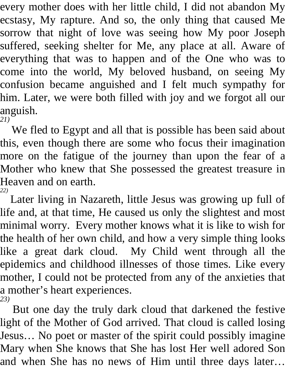every mother does with her little child, I did not abandon My ecstasy, My rapture. And so, the only thing that caused Me sorrow that night of love was seeing how My poor Joseph suffered, seeking shelter for Me, any place at all. Aware of everything that was to happen and of the One who was to come into the world, My beloved husband, on seeing My confusion became anguished and I felt much sympathy for him. Later, we were both filled with joy and we forgot all our anguish. *21)* 

We fled to Egypt and all that is possible has been said about this, even though there are some who focus their imagination more on the fatigue of the journey than upon the fear of a Mother who knew that She possessed the greatest treasure in Heaven and on earth. *22)* 

Later living in Nazareth, little Jesus was growing up full of life and, at that time, He caused us only the slightest and most minimal worry. Every mother knows what it is like to wish for the health of her own child, and how a very simple thing looks like a great dark cloud. My Child went through all the epidemics and childhood illnesses of those times. Like every mother, I could not be protected from any of the anxieties that a mother's heart experiences. *23)* 

But one day the truly dark cloud that darkened the festive light of the Mother of God arrived. That cloud is called losing Jesus… No poet or master of the spirit could possibly imagine Mary when She knows that She has lost Her well adored Son and when She has no news of Him until three days later…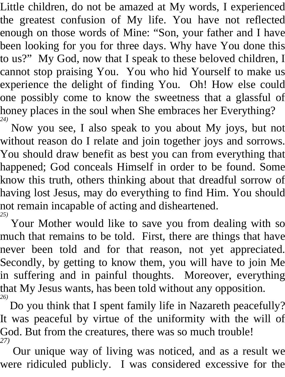Little children, do not be amazed at My words, I experienced the greatest confusion of My life. You have not reflected enough on those words of Mine: "Son, your father and I have been looking for you for three days. Why have You done this to us?" My God, now that I speak to these beloved children, I cannot stop praising You. You who hid Yourself to make us experience the delight of finding You. Oh! How else could one possibly come to know the sweetness that a glassful of honey places in the soul when She embraces her Everything? *24)* 

Now you see, I also speak to you about My joys, but not without reason do I relate and join together joys and sorrows. You should draw benefit as best you can from everything that happened; God conceals Himself in order to be found. Some know this truth, others thinking about that dreadful sorrow of having lost Jesus, may do everything to find Him. You should not remain incapable of acting and disheartened. *25)* 

Your Mother would like to save you from dealing with so much that remains to be told. First, there are things that have never been told and for that reason, not yet appreciated. Secondly, by getting to know them, you will have to join Me in suffering and in painful thoughts. Moreover, everything that My Jesus wants, has been told without any opposition. *26)* 

Do you think that I spent family life in Nazareth peacefully? It was peaceful by virtue of the uniformity with the will of God. But from the creatures, there was so much trouble! *27)* 

Our unique way of living was noticed, and as a result we were ridiculed publicly. I was considered excessive for the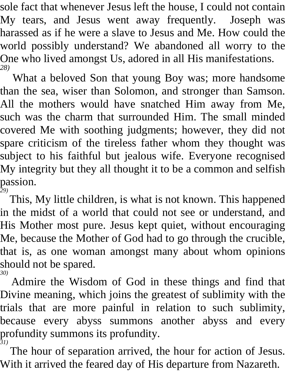sole fact that whenever Jesus left the house, I could not contain My tears, and Jesus went away frequently. Joseph was harassed as if he were a slave to Jesus and Me. How could the world possibly understand? We abandoned all worry to the One who lived amongst Us, adored in all His manifestations. *28)* 

What a beloved Son that young Boy was; more handsome than the sea, wiser than Solomon, and stronger than Samson. All the mothers would have snatched Him away from Me, such was the charm that surrounded Him. The small minded covered Me with soothing judgments; however, they did not spare criticism of the tireless father whom they thought was subject to his faithful but jealous wife. Everyone recognised My integrity but they all thought it to be a common and selfish passion. *29)* 

This, My little children, is what is not known. This happened in the midst of a world that could not see or understand, and His Mother most pure. Jesus kept quiet, without encouraging Me, because the Mother of God had to go through the crucible, that is, as one woman amongst many about whom opinions should not be spared. *30)* 

Admire the Wisdom of God in these things and find that Divine meaning, which joins the greatest of sublimity with the trials that are more painful in relation to such sublimity, because every abyss summons another abyss and every profundity summons its profundity. *31)* 

The hour of separation arrived, the hour for action of Jesus. With it arrived the feared day of His departure from Nazareth.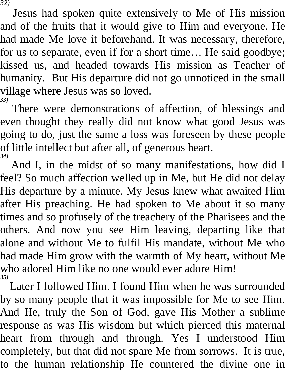*32)* 

Jesus had spoken quite extensively to Me of His mission and of the fruits that it would give to Him and everyone. He had made Me love it beforehand. It was necessary, therefore, for us to separate, even if for a short time… He said goodbye; kissed us, and headed towards His mission as Teacher of humanity. But His departure did not go unnoticed in the small village where Jesus was so loved. *33)* 

There were demonstrations of affection, of blessings and even thought they really did not know what good Jesus was going to do, just the same a loss was foreseen by these people of little intellect but after all, of generous heart. *34)* 

And I, in the midst of so many manifestations, how did I feel? So much affection welled up in Me, but He did not delay His departure by a minute. My Jesus knew what awaited Him after His preaching. He had spoken to Me about it so many times and so profusely of the treachery of the Pharisees and the others. And now you see Him leaving, departing like that alone and without Me to fulfil His mandate, without Me who had made Him grow with the warmth of My heart, without Me who adored Him like no one would ever adore Him! *35)* 

Later I followed Him. I found Him when he was surrounded by so many people that it was impossible for Me to see Him. And He, truly the Son of God, gave His Mother a sublime response as was His wisdom but which pierced this maternal heart from through and through. Yes I understood Him completely, but that did not spare Me from sorrows. It is true, to the human relationship He countered the divine one in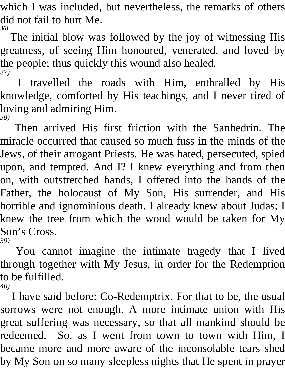which I was included, but nevertheless, the remarks of others did not fail to hurt Me. *36)* 

The initial blow was followed by the joy of witnessing His greatness, of seeing Him honoured, venerated, and loved by the people; thus quickly this wound also healed. *37)* 

I travelled the roads with Him, enthralled by His knowledge, comforted by His teachings, and I never tired of loving and admiring Him. *38)* 

Then arrived His first friction with the Sanhedrin. The miracle occurred that caused so much fuss in the minds of the Jews, of their arrogant Priests. He was hated, persecuted, spied upon, and tempted. And I? I knew everything and from then on, with outstretched hands, I offered into the hands of the Father, the holocaust of My Son, His surrender, and His horrible and ignominious death. I already knew about Judas; I knew the tree from which the wood would be taken for My Son's Cross. *39)* 

You cannot imagine the intimate tragedy that I lived through together with My Jesus, in order for the Redemption to be fulfilled. *40)* 

I have said before: Co-Redemptrix. For that to be, the usual sorrows were not enough. A more intimate union with His great suffering was necessary, so that all mankind should be redeemed. So, as I went from town to town with Him, I became more and more aware of the inconsolable tears shed by My Son on so many sleepless nights that He spent in prayer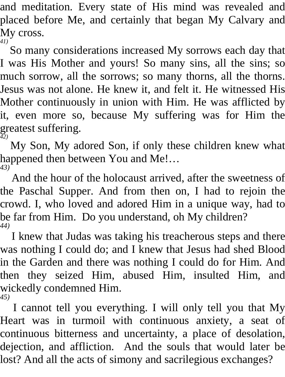and meditation. Every state of His mind was revealed and placed before Me, and certainly that began My Calvary and My cross. *41)* 

So many considerations increased My sorrows each day that I was His Mother and yours! So many sins, all the sins; so much sorrow, all the sorrows; so many thorns, all the thorns. Jesus was not alone. He knew it, and felt it. He witnessed His Mother continuously in union with Him. He was afflicted by it, even more so, because My suffering was for Him the greatest suffering. *42)* 

My Son, My adored Son, if only these children knew what happened then between You and Me!… *43)* 

And the hour of the holocaust arrived, after the sweetness of the Paschal Supper. And from then on, I had to rejoin the crowd. I, who loved and adored Him in a unique way, had to be far from Him. Do you understand, oh My children? *44)* 

I knew that Judas was taking his treacherous steps and there was nothing I could do; and I knew that Jesus had shed Blood in the Garden and there was nothing I could do for Him. And then they seized Him, abused Him, insulted Him, and wickedly condemned Him. *45)* 

I cannot tell you everything. I will only tell you that My Heart was in turmoil with continuous anxiety, a seat of continuous bitterness and uncertainty, a place of desolation, dejection, and affliction. And the souls that would later be lost? And all the acts of simony and sacrilegious exchanges?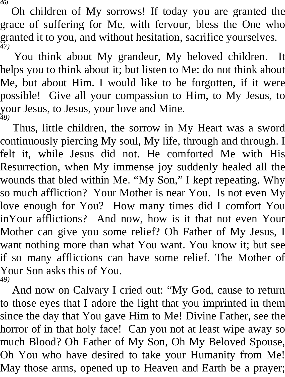*46)* 

Oh children of My sorrows! If today you are granted the grace of suffering for Me, with fervour, bless the One who granted it to you, and without hesitation, sacrifice yourselves. *47)* 

You think about My grandeur, My beloved children. It helps you to think about it; but listen to Me: do not think about Me, but about Him. I would like to be forgotten, if it were possible! Give all your compassion to Him, to My Jesus, to your Jesus, to Jesus, your love and Mine. *48)* 

Thus, little children, the sorrow in My Heart was a sword continuously piercing My soul, My life, through and through. I felt it, while Jesus did not. He comforted Me with His Resurrection, when My immense joy suddenly healed all the wounds that bled within Me. "My Son," I kept repeating. Why so much affliction? Your Mother is near You. Is not even My love enough for You? How many times did I comfort You inYour afflictions? And now, how is it that not even Your Mother can give you some relief? Oh Father of My Jesus, I want nothing more than what You want. You know it; but see if so many afflictions can have some relief. The Mother of Your Son asks this of You. *49)* 

And now on Calvary I cried out: "My God, cause to return to those eyes that I adore the light that you imprinted in them since the day that You gave Him to Me! Divine Father, see the horror of in that holy face! Can you not at least wipe away so much Blood? Oh Father of My Son, Oh My Beloved Spouse, Oh You who have desired to take your Humanity from Me! May those arms, opened up to Heaven and Earth be a prayer;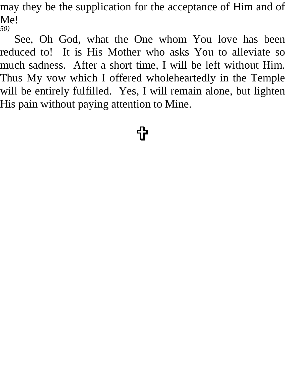may they be the supplication for the acceptance of Him and of Me! *50)* 

See, Oh God, what the One whom You love has been reduced to! It is His Mother who asks You to alleviate so much sadness. After a short time, I will be left without Him. Thus My vow which I offered wholeheartedly in the Temple will be entirely fulfilled. Yes, I will remain alone, but lighten His pain without paying attention to Mine.

<u>ተ</u>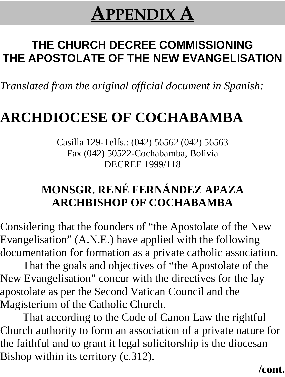### **APPENDIX A**

### **THE CHURCH DECREE COMMISSIONING THE APOSTOLATE OF THE NEW EVANGELISATION**

*Translated from the original official document in Spanish:*

### **ARCHDIOCESE OF COCHABAMBA**

Casilla 129-Telfs.: (042) 56562 (042) 56563 Fax (042) 50522-Cochabamba, Bolivia DECREE 1999/118

#### **MONSGR. RENÉ FERNÁNDEZ APAZA ARCHBISHOP OF COCHABAMBA**

Considering that the founders of "the Apostolate of the New Evangelisation" (A.N.E.) have applied with the following documentation for formation as a private catholic association.

That the goals and objectives of "the Apostolate of the New Evangelisation" concur with the directives for the lay apostolate as per the Second Vatican Council and the Magisterium of the Catholic Church.

That according to the Code of Canon Law the rightful Church authority to form an association of a private nature for the faithful and to grant it legal solicitorship is the diocesan Bishop within its territory (c.312).

#### **/cont.**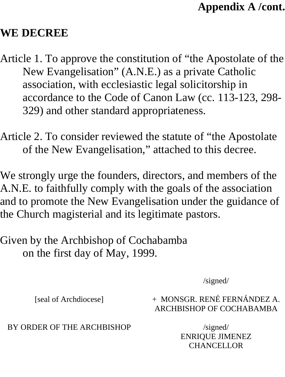#### **Appendix A /cont.**

#### **WE DECREE**

- Article 1. To approve the constitution of "the Apostolate of the New Evangelisation" (A.N.E.) as a private Catholic association, with ecclesiastic legal solicitorship in accordance to the Code of Canon Law (cc. 113-123, 298- 329) and other standard appropriateness.
- Article 2. To consider reviewed the statute of "the Apostolate of the New Evangelisation," attached to this decree.

We strongly urge the founders, directors, and members of the A.N.E. to faithfully comply with the goals of the association and to promote the New Evangelisation under the guidance of the Church magisterial and its legitimate pastors.

Given by the Archbishop of Cochabamba on the first day of May, 1999.

/signed/

[seal of Archdiocese]

+ MONSGR. RENÉ FERNÁNDEZ A. ARCHBISHOP OF COCHABAMBA

BY ORDER OF THE ARCHBISHOP

/signed/ ENRIQUE JIMENEZ **CHANCELLOR**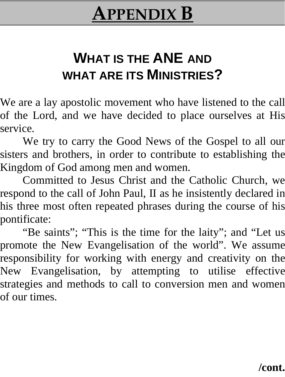### **APPENDIX B**

### **WHAT IS THE ANE AND WHAT ARE ITS MINISTRIES?**

We are a lay apostolic movement who have listened to the call of the Lord, and we have decided to place ourselves at His service.

We try to carry the Good News of the Gospel to all our sisters and brothers, in order to contribute to establishing the Kingdom of God among men and women.

Committed to Jesus Christ and the Catholic Church, we respond to the call of John Paul, II as he insistently declared in his three most often repeated phrases during the course of his pontificate:

"Be saints"; "This is the time for the laity"; and "Let us promote the New Evangelisation of the world". We assume responsibility for working with energy and creativity on the New Evangelisation, by attempting to utilise effective strategies and methods to call to conversion men and women of our times.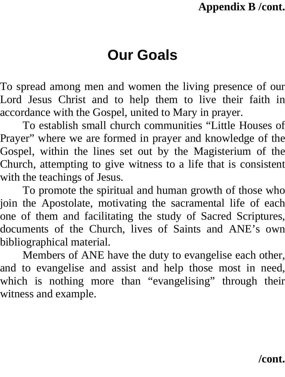# **Our Goals**

To spread among men and women the living presence of our Lord Jesus Christ and to help them to live their faith in accordance with the Gospel, united to Mary in prayer.

To establish small church communities "Little Houses of Prayer" where we are formed in prayer and knowledge of the Gospel, within the lines set out by the Magisterium of the Church, attempting to give witness to a life that is consistent with the teachings of Jesus.

To promote the spiritual and human growth of those who join the Apostolate, motivating the sacramental life of each one of them and facilitating the study of Sacred Scriptures, documents of the Church, lives of Saints and ANE's own bibliographical material.

Members of ANE have the duty to evangelise each other, and to evangelise and assist and help those most in need, which is nothing more than "evangelising" through their witness and example.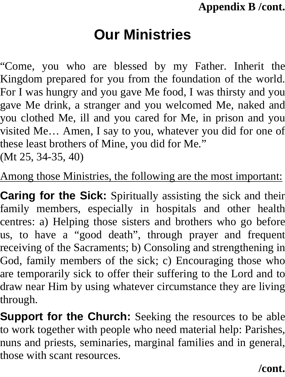# **Our Ministries**

"Come, you who are blessed by my Father. Inherit the Kingdom prepared for you from the foundation of the world. For I was hungry and you gave Me food, I was thirsty and you gave Me drink, a stranger and you welcomed Me, naked and you clothed Me, ill and you cared for Me, in prison and you visited Me… Amen, I say to you, whatever you did for one of these least brothers of Mine, you did for Me." (Mt 25, 34-35, 40)

Among those Ministries, the following are the most important:

**Caring for the Sick:** Spiritually assisting the sick and their family members, especially in hospitals and other health centres: a) Helping those sisters and brothers who go before us, to have a "good death", through prayer and frequent receiving of the Sacraments; b) Consoling and strengthening in God, family members of the sick; c) Encouraging those who are temporarily sick to offer their suffering to the Lord and to draw near Him by using whatever circumstance they are living through.

**Support for the Church:** Seeking the resources to be able to work together with people who need material help: Parishes, nuns and priests, seminaries, marginal families and in general, those with scant resources.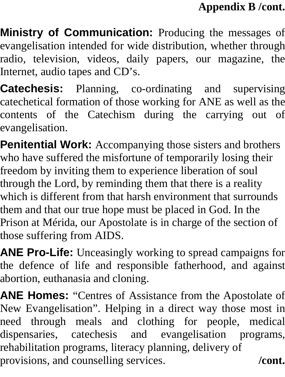**Ministry of Communication:** Producing the messages of evangelisation intended for wide distribution, whether through radio, television, videos, daily papers, our magazine, the Internet, audio tapes and CD's.

**Catechesis:** Planning, co-ordinating and supervising catechetical formation of those working for ANE as well as the contents of the Catechism during the carrying out of evangelisation.

**Penitential Work:** Accompanying those sisters and brothers who have suffered the misfortune of temporarily losing their freedom by inviting them to experience liberation of soul through the Lord, by reminding them that there is a reality which is different from that harsh environment that surrounds them and that our true hope must be placed in God. In the Prison at Mérida, our Apostolate is in charge of the section of those suffering from AIDS.

**ANE Pro-Life:** Unceasingly working to spread campaigns for the defence of life and responsible fatherhood, and against abortion, euthanasia and cloning.

**ANE Homes:** "Centres of Assistance from the Apostolate of New Evangelisation". Helping in a direct way those most in need through meals and clothing for people, medical dispensaries, catechesis and evangelisation programs, rehabilitation programs, literacy planning, delivery of provisions, and counselling services. **/cont.**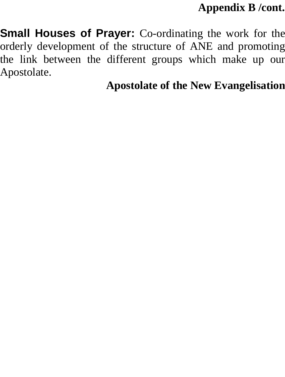**Small Houses of Prayer:** Co-ordinating the work for the orderly development of the structure of ANE and promoting the link between the different groups which make up our Apostolate.

**Apostolate of the New Evangelisation**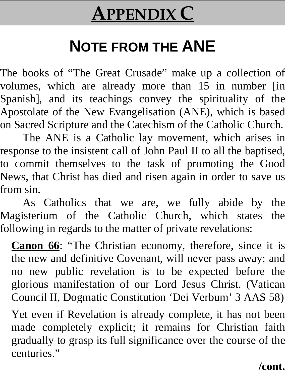# **APPENDIX C**

# **NOTE FROM THE ANE**

The books of "The Great Crusade" make up a collection of volumes, which are already more than 15 in number [in Spanish], and its teachings convey the spirituality of the Apostolate of the New Evangelisation (ANE), which is based on Sacred Scripture and the Catechism of the Catholic Church.

The ANE is a Catholic lay movement, which arises in response to the insistent call of John Paul II to all the baptised, to commit themselves to the task of promoting the Good News, that Christ has died and risen again in order to save us from sin.

As Catholics that we are, we fully abide by the Magisterium of the Catholic Church, which states the following in regards to the matter of private revelations:

**Canon 66**: "The Christian economy, therefore, since it is the new and definitive Covenant, will never pass away; and no new public revelation is to be expected before the glorious manifestation of our Lord Jesus Christ. (Vatican Council II, Dogmatic Constitution 'Dei Verbum' 3 AAS 58)

Yet even if Revelation is already complete, it has not been made completely explicit; it remains for Christian faith gradually to grasp its full significance over the course of the centuries."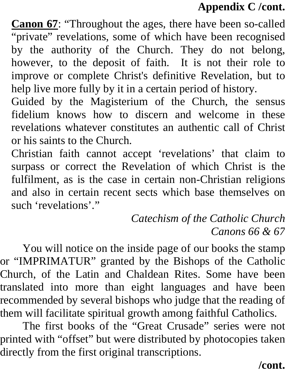**Canon 67**: "Throughout the ages, there have been so-called "private" revelations, some of which have been recognised by the authority of the Church. They do not belong, however, to the deposit of faith. It is not their role to improve or complete Christ's definitive Revelation, but to help live more fully by it in a certain period of history.

Guided by the Magisterium of the Church, the sensus fidelium knows how to discern and welcome in these revelations whatever constitutes an authentic call of Christ or his saints to the Church.

Christian faith cannot accept 'revelations' that claim to surpass or correct the Revelation of which Christ is the fulfilment, as is the case in certain non-Christian religions and also in certain recent sects which base themselves on such 'revelations'."

#### *Catechism of the Catholic Church Canons 66 & 67*

You will notice on the inside page of our books the stamp or "IMPRIMATUR" granted by the Bishops of the Catholic Church, of the Latin and Chaldean Rites. Some have been translated into more than eight languages and have been recommended by several bishops who judge that the reading of them will facilitate spiritual growth among faithful Catholics.

The first books of the "Great Crusade" series were not printed with "offset" but were distributed by photocopies taken directly from the first original transcriptions.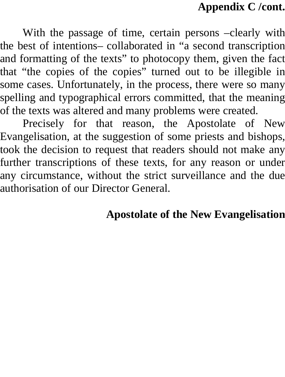With the passage of time, certain persons –clearly with the best of intentions– collaborated in "a second transcription and formatting of the texts" to photocopy them, given the fact that "the copies of the copies" turned out to be illegible in some cases. Unfortunately, in the process, there were so many spelling and typographical errors committed, that the meaning of the texts was altered and many problems were created.

Precisely for that reason, the Apostolate of New Evangelisation, at the suggestion of some priests and bishops, took the decision to request that readers should not make any further transcriptions of these texts, for any reason or under any circumstance, without the strict surveillance and the due authorisation of our Director General.

#### **Apostolate of the New Evangelisation**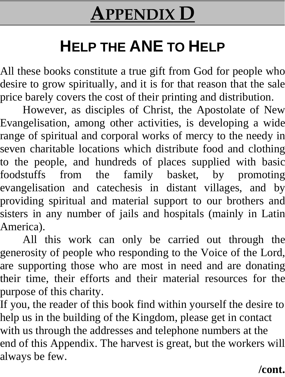# **APPENDIX D**

# **HELP THE ANE TO HELP**

All these books constitute a true gift from God for people who desire to grow spiritually, and it is for that reason that the sale price barely covers the cost of their printing and distribution.

However, as disciples of Christ, the Apostolate of New Evangelisation, among other activities, is developing a wide range of spiritual and corporal works of mercy to the needy in seven charitable locations which distribute food and clothing to the people, and hundreds of places supplied with basic foodstuffs from the family basket, by promoting evangelisation and catechesis in distant villages, and by providing spiritual and material support to our brothers and sisters in any number of jails and hospitals (mainly in Latin America).

All this work can only be carried out through the generosity of people who responding to the Voice of the Lord, are supporting those who are most in need and are donating their time, their efforts and their material resources for the purpose of this charity.

If you, the reader of this book find within yourself the desire to help us in the building of the Kingdom, please get in contact with us through the addresses and telephone numbers at the end of this Appendix. The harvest is great, but the workers will always be few.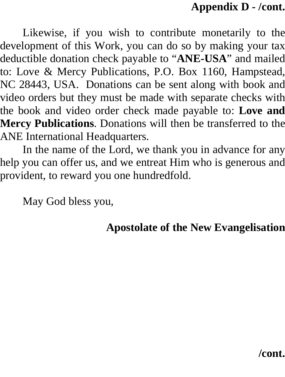#### **Appendix D - /cont.**

Likewise, if you wish to contribute monetarily to the development of this Work, you can do so by making your tax deductible donation check payable to "**ANE-USA**" and mailed to: Love & Mercy Publications, P.O. Box 1160, Hampstead, NC 28443, USA. Donations can be sent along with book and video orders but they must be made with separate checks with the book and video order check made payable to: **Love and Mercy Publications**. Donations will then be transferred to the ANE International Headquarters.

In the name of the Lord, we thank you in advance for any help you can offer us, and we entreat Him who is generous and provident, to reward you one hundredfold.

May God bless you,

#### **Apostolate of the New Evangelisation**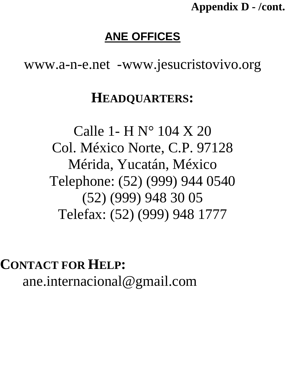**Appendix D - /cont.**

#### **ANE OFFICES**

www.a-n-e.net -www.jesucristovivo.org

## **HEADQUARTERS:**

Calle 1- H N° 104 X 20 Col. México Norte, C.P. 97128 Mérida, Yucatán, México Telephone: (52) (999) 944 0540 (52) (999) 948 30 05 Telefax: (52) (999) 948 1777

**CONTACT FOR HELP:**  ane.internacional@gmail.com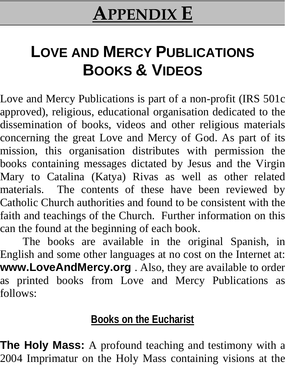# **APPENDIX E**

# **LOVE AND MERCY PUBLICATIONS BOOKS & VIDEOS**

Love and Mercy Publications is part of a non-profit (IRS 501c approved), religious, educational organisation dedicated to the dissemination of books, videos and other religious materials concerning the great Love and Mercy of God. As part of its mission, this organisation distributes with permission the books containing messages dictated by Jesus and the Virgin Mary to Catalina (Katya) Rivas as well as other related materials. The contents of these have been reviewed by Catholic Church authorities and found to be consistent with the faith and teachings of the Church. Further information on this can the found at the beginning of each book.

The books are available in the original Spanish, in English and some other languages at no cost on the Internet at: **www.LoveAndMercy.org** . Also, they are available to order as printed books from Love and Mercy Publications as follows:

## **Books on the Eucharist**

**The Holy Mass:** A profound teaching and testimony with a 2004 Imprimatur on the Holy Mass containing visions at the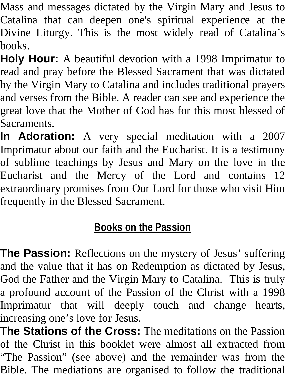Mass and messages dictated by the Virgin Mary and Jesus to Catalina that can deepen one's spiritual experience at the Divine Liturgy. This is the most widely read of Catalina's books.

**Holy Hour:** A beautiful devotion with a 1998 Imprimatur to read and pray before the Blessed Sacrament that was dictated by the Virgin Mary to Catalina and includes traditional prayers and verses from the Bible. A reader can see and experience the great love that the Mother of God has for this most blessed of Sacraments.

**In Adoration:** A very special meditation with a 2007 Imprimatur about our faith and the Eucharist. It is a testimony of sublime teachings by Jesus and Mary on the love in the Eucharist and the Mercy of the Lord and contains 12 extraordinary promises from Our Lord for those who visit Him frequently in the Blessed Sacrament.

# **Books on the Passion**

**The Passion:** Reflections on the mystery of Jesus' suffering and the value that it has on Redemption as dictated by Jesus, God the Father and the Virgin Mary to Catalina. This is truly a profound account of the Passion of the Christ with a 1998 Imprimatur that will deeply touch and change hearts, increasing one's love for Jesus.

**The Stations of the Cross:** The meditations on the Passion of the Christ in this booklet were almost all extracted from "The Passion" (see above) and the remainder was from the Bible. The mediations are organised to follow the traditional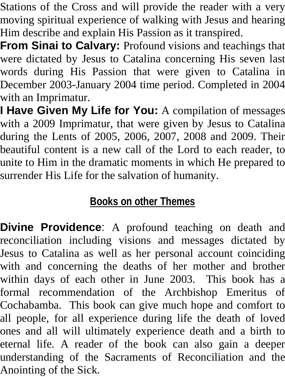Stations of the Cross and will provide the reader with a very moving spiritual experience of walking with Jesus and hearing Him describe and explain His Passion as it transpired.

**From Sinai to Calvary:** Profound visions and teachings that were dictated by Jesus to Catalina concerning His seven last words during His Passion that were given to Catalina in December 2003-January 2004 time period. Completed in 2004 with an Imprimatur.

**I Have Given My Life for You:** A compilation of messages with a 2009 Imprimatur, that were given by Jesus to Catalina during the Lents of 2005, 2006, 2007, 2008 and 2009. Their beautiful content is a new call of the Lord to each reader, to unite to Him in the dramatic moments in which He prepared to surrender His Life for the salvation of humanity.

## **Books on other Themes**

**Divine Providence**: A profound teaching on death and reconciliation including visions and messages dictated by Jesus to Catalina as well as her personal account coinciding with and concerning the deaths of her mother and brother within days of each other in June 2003. This book has a formal recommendation of the Archbishop Emeritus of Cochabamba. This book can give much hope and comfort to all people, for all experience during life the death of loved ones and all will ultimately experience death and a birth to eternal life. A reader of the book can also gain a deeper understanding of the Sacraments of Reconciliation and the Anointing of the Sick.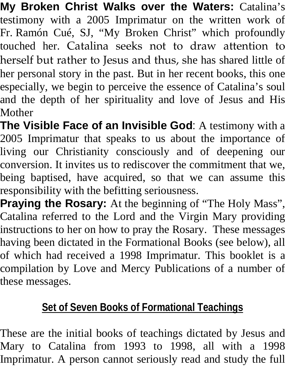**My Broken Christ Walks over the Waters:** Catalina's testimony with a 2005 Imprimatur on the written work of Fr. Ramón Cué, SJ, "My Broken Christ" which profoundly touched her. Catalina seeks not to draw attention to herself but rather to Jesus and thus, she has shared little of her personal story in the past. But in her recent books, this one especially, we begin to perceive the essence of Catalina's soul and the depth of her spirituality and love of Jesus and His Mother

**The Visible Face of an Invisible God**: A testimony with a 2005 Imprimatur that speaks to us about the importance of living our Christianity consciously and of deepening our conversion. It invites us to rediscover the commitment that we, being baptised, have acquired, so that we can assume this responsibility with the befitting seriousness.

**Praying the Rosary:** At the beginning of "The Holy Mass", Catalina referred to the Lord and the Virgin Mary providing instructions to her on how to pray the Rosary. These messages having been dictated in the Formational Books (see below), all of which had received a 1998 Imprimatur. This booklet is a compilation by Love and Mercy Publications of a number of these messages.

## **Set of Seven Books of Formational Teachings**

These are the initial books of teachings dictated by Jesus and Mary to Catalina from 1993 to 1998, all with a 1998 Imprimatur. A person cannot seriously read and study the full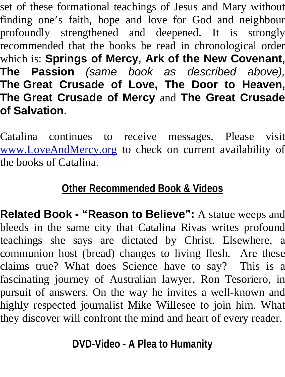set of these formational teachings of Jesus and Mary without finding one's faith, hope and love for God and neighbour profoundly strengthened and deepened. It is strongly recommended that the books be read in chronological order which is: **Springs of Mercy, Ark of the New Covenant, The Passion** *(same book as described above),* **The Great Crusade of Love, The Door to Heaven, The Great Crusade of Mercy** and **The Great Crusade of Salvation.**

Catalina continues to receive messages. Please visit [www.LoveAndMercy.org](http://www.loveandmercy.org/) to check on current availability of the books of Catalina.

### **Other Recommended Book & Videos**

**Related Book - "Reason to Believe":** A statue weeps and bleeds in the same city that Catalina Rivas writes profound teachings she says are dictated by Christ. Elsewhere, a communion host (bread) changes to living flesh. Are these claims true? What does Science have to say? This is a fascinating journey of Australian lawyer, Ron Tesoriero, in pursuit of answers. On the way he invites a well-known and highly respected journalist Mike Willesee to join him. What they discover will confront the mind and heart of every reader.

**DVD-Video - A Plea to Humanity**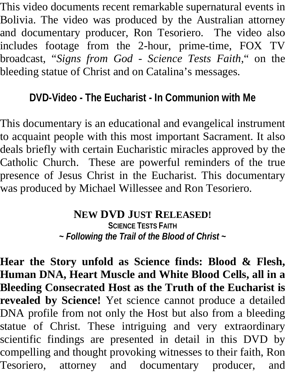This video documents recent remarkable supernatural events in Bolivia. The video was produced by the Australian attorney and documentary producer, Ron Tesoriero. The video also includes footage from the 2-hour, prime-time, FOX TV broadcast, "*Signs from God - Science Tests Faith*," on the bleeding statue of Christ and on Catalina's messages.

# **DVD-Video - The Eucharist - In Communion with Me**

This documentary is an educational and evangelical instrument to acquaint people with this most important Sacrament. It also deals briefly with certain Eucharistic miracles approved by the Catholic Church. These are powerful reminders of the true presence of Jesus Christ in the Eucharist. This documentary was produced by Michael Willessee and Ron Tesoriero.

### **NEW DVD JUST RELEASED!**

**SCIENCE TESTS FAITH** *~ Following the Trail of the Blood of Christ ~*

**Hear the Story unfold as Science finds: Blood & Flesh, Human DNA, Heart Muscle and White Blood Cells, all in a Bleeding Consecrated Host as the Truth of the Eucharist is revealed by Science!** Yet science cannot produce a detailed DNA profile from not only the Host but also from a bleeding statue of Christ. These intriguing and very extraordinary scientific findings are presented in detail in this DVD by compelling and thought provoking witnesses to their faith, Ron Tesoriero, attorney and documentary producer, and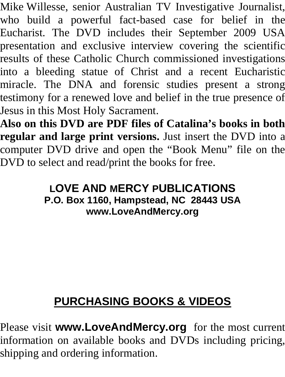Mike Willesse, senior Australian TV Investigative Journalist, who build a powerful fact-based case for belief in the Eucharist. The DVD includes their September 2009 USA presentation and exclusive interview covering the scientific results of these Catholic Church commissioned investigations into a bleeding statue of Christ and a recent Eucharistic miracle. The DNA and forensic studies present a strong testimony for a renewed love and belief in the true presence of Jesus in this Most Holy Sacrament.

**Also on this DVD are PDF files of Catalina's books in both regular and large print versions.** Just insert the DVD into a computer DVD drive and open the "Book Menu" file on the DVD to select and read/print the books for free.

#### **LOVE AND MERCY PUBLICATIONS P.O. Box 1160, Hampstead, NC 28443 USA <www.LoveAndMercy.org>**

# **PURCHASING BOOKS & VIDEOS**

Please visit **www.LoveAndMercy.org** for the most current information on available books and DVDs including pricing, shipping and ordering information.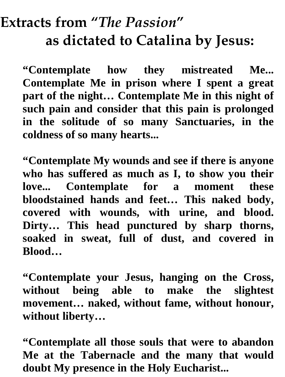# **Extracts from "***The Passion***" as dictated to Catalina by Jesus:**

**"Contemplate how they mistreated Me... Contemplate Me in prison where I spent a great part of the night… Contemplate Me in this night of such pain and consider that this pain is prolonged in the solitude of so many Sanctuaries, in the coldness of so many hearts...**

**"Contemplate My wounds and see if there is anyone who has suffered as much as I, to show you their love... Contemplate for a moment these bloodstained hands and feet… This naked body, covered with wounds, with urine, and blood. Dirty… This head punctured by sharp thorns, soaked in sweat, full of dust, and covered in Blood…**

**"Contemplate your Jesus, hanging on the Cross, without being able to make the slightest movement… naked, without fame, without honour, without liberty…**

**"Contemplate all those souls that were to abandon Me at the Tabernacle and the many that would doubt My presence in the Holy Eucharist...**